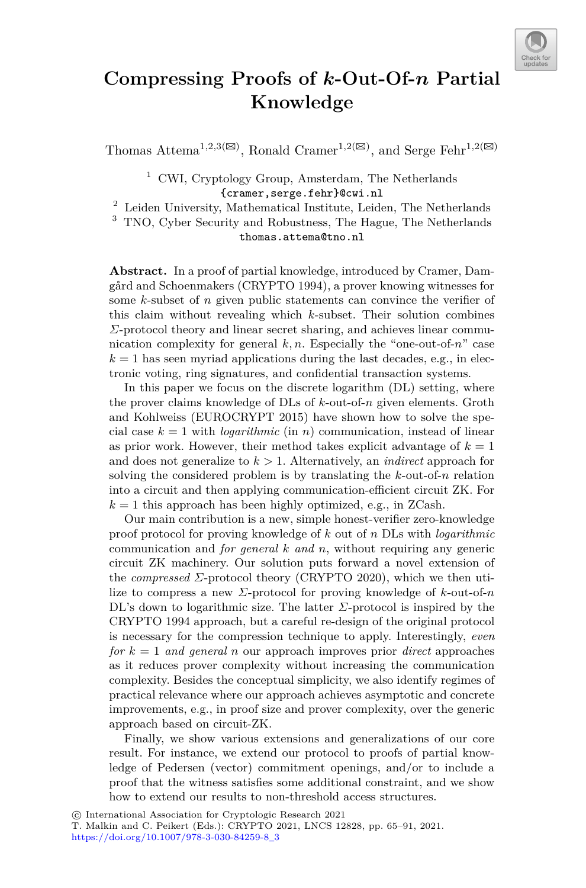

# **Compressing Proofs of** *k***-Out-Of-***n* **Partial Knowledge**

Thomas Attema<sup>1,2,3( $\boxtimes$ )</sup>, Ronald Cramer<sup>1,2( $\boxtimes$ )</sup>, and Serge Fehr<sup>1,2( $\boxtimes$ )</sup>

<sup>1</sup> CWI, Cryptology Group, Amsterdam, The Netherlands

{cramer,serge.fehr}@cwi.nl <sup>2</sup> Leiden University, Mathematical Institute, Leiden, The Netherlands

<sup>3</sup> TNO, Cyber Security and Robustness, The Hague, The Netherlands thomas.attema@tno.nl

**Abstract.** In a proof of partial knowledge, introduced by Cramer, Damgård and Schoenmakers (CRYPTO 1994), a prover knowing witnesses for some *k*-subset of *n* given public statements can convince the verifier of this claim without revealing which *k*-subset. Their solution combines *Σ*-protocol theory and linear secret sharing, and achieves linear communication complexity for general  $k, n$ . Especially the "one-out-of- $n$ " case  $k = 1$  has seen myriad applications during the last decades, e.g., in electronic voting, ring signatures, and confidential transaction systems.

In this paper we focus on the discrete logarithm (DL) setting, where the prover claims knowledge of DLs of *k*-out-of-*n* given elements. Groth and Kohlweiss (EUROCRYPT 2015) have shown how to solve the special case  $k = 1$  with *logarithmic* (in *n*) communication, instead of linear as prior work. However, their method takes explicit advantage of  $k = 1$ and does not generalize to *k >* 1. Alternatively, an *indirect* approach for solving the considered problem is by translating the *k*-out-of-*n* relation into a circuit and then applying communication-efficient circuit ZK. For  $k = 1$  this approach has been highly optimized, e.g., in ZCash.

Our main contribution is a new, simple honest-verifier zero-knowledge proof protocol for proving knowledge of *k* out of *n* DLs with *logarithmic* communication and *for general k and n*, without requiring any generic circuit ZK machinery. Our solution puts forward a novel extension of the *compressed Σ*-protocol theory (CRYPTO 2020), which we then utilize to compress a new *Σ*-protocol for proving knowledge of *k*-out-of-*n* DL's down to logarithmic size. The latter *Σ*-protocol is inspired by the CRYPTO 1994 approach, but a careful re-design of the original protocol is necessary for the compression technique to apply. Interestingly, *even for*  $k = 1$  *and general n* our approach improves prior *direct* approaches as it reduces prover complexity without increasing the communication complexity. Besides the conceptual simplicity, we also identify regimes of practical relevance where our approach achieves asymptotic and concrete improvements, e.g., in proof size and prover complexity, over the generic approach based on circuit-ZK.

Finally, we show various extensions and generalizations of our core result. For instance, we extend our protocol to proofs of partial knowledge of Pedersen (vector) commitment openings, and/or to include a proof that the witness satisfies some additional constraint, and we show how to extend our results to non-threshold access structures.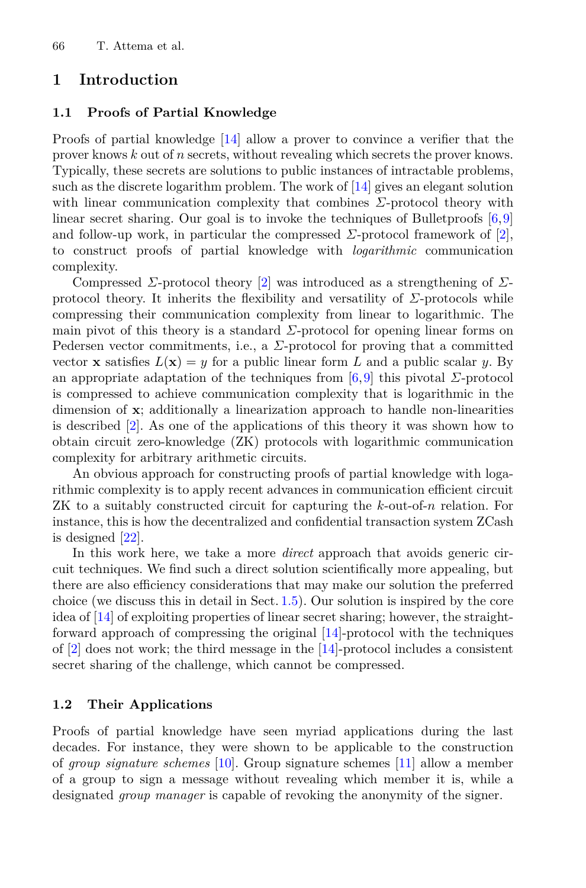## **1 Introduction**

#### **1.1 Proofs of Partial Knowledge**

Proofs of partial knowledge [\[14\]](#page-24-0) allow a prover to convince a verifier that the prover knows *k* out of *n* secrets, without revealing which secrets the prover knows. Typically, these secrets are solutions to public instances of intractable problems, such as the discrete logarithm problem. The work of [\[14\]](#page-24-0) gives an elegant solution with linear communication complexity that combines *Σ*-protocol theory with linear secret sharing. Our goal is to invoke the techniques of Bulletproofs [\[6](#page-23-0)[,9](#page-23-1)] and follow-up work, in particular the compressed  $\Sigma$ -protocol framework of  $[2]$ , to construct proofs of partial knowledge with *logarithmic* communication complexity.

Compressed *Σ*-protocol theory [\[2\]](#page-23-2) was introduced as a strengthening of *Σ*protocol theory. It inherits the flexibility and versatility of *Σ*-protocols while compressing their communication complexity from linear to logarithmic. The main pivot of this theory is a standard  $\Sigma$ -protocol for opening linear forms on Pedersen vector commitments, i.e., a  $\Sigma$ -protocol for proving that a committed vector **x** satisfies  $L(\mathbf{x}) = y$  for a public linear form L and a public scalar y. By an appropriate adaptation of the techniques from [\[6](#page-23-0),[9\]](#page-23-1) this pivotal *Σ*-protocol is compressed to achieve communication complexity that is logarithmic in the dimension of **x**; additionally a linearization approach to handle non-linearities is described [\[2](#page-23-2)]. As one of the applications of this theory it was shown how to obtain circuit zero-knowledge (ZK) protocols with logarithmic communication complexity for arbitrary arithmetic circuits.

An obvious approach for constructing proofs of partial knowledge with logarithmic complexity is to apply recent advances in communication efficient circuit ZK to a suitably constructed circuit for capturing the *k*-out-of-*n* relation. For instance, this is how the decentralized and confidential transaction system ZCash is designed [\[22\]](#page-24-1).

In this work here, we take a more *direct* approach that avoids generic circuit techniques. We find such a direct solution scientifically more appealing, but there are also efficiency considerations that may make our solution the preferred choice (we discuss this in detail in Sect. [1.5\)](#page-4-0). Our solution is inspired by the core idea of [\[14\]](#page-24-0) of exploiting properties of linear secret sharing; however, the straightforward approach of compressing the original [\[14\]](#page-24-0)-protocol with the techniques of [\[2](#page-23-2)] does not work; the third message in the [\[14](#page-24-0)]-protocol includes a consistent secret sharing of the challenge, which cannot be compressed.

### **1.2 Their Applications**

Proofs of partial knowledge have seen myriad applications during the last decades. For instance, they were shown to be applicable to the construction of *group signature schemes* [\[10\]](#page-23-3). Group signature schemes [\[11](#page-24-2)] allow a member of a group to sign a message without revealing which member it is, while a designated *group manager* is capable of revoking the anonymity of the signer.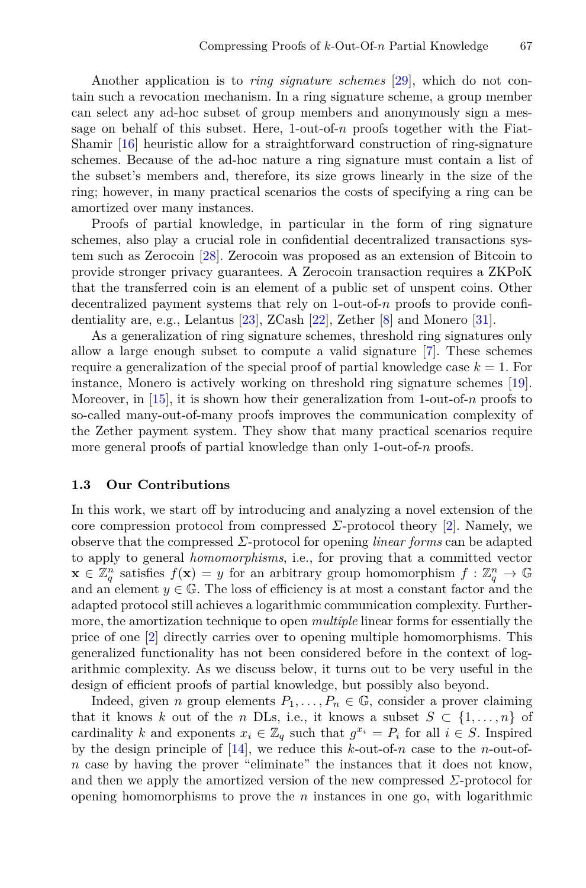Another application is to *ring signature schemes* [\[29](#page-25-0)], which do not contain such a revocation mechanism. In a ring signature scheme, a group member can select any ad-hoc subset of group members and anonymously sign a message on behalf of this subset. Here,  $1$ -out-of- $n$  proofs together with the Fiat-Shamir [\[16](#page-24-3)] heuristic allow for a straightforward construction of ring-signature schemes. Because of the ad-hoc nature a ring signature must contain a list of the subset's members and, therefore, its size grows linearly in the size of the ring; however, in many practical scenarios the costs of specifying a ring can be amortized over many instances.

Proofs of partial knowledge, in particular in the form of ring signature schemes, also play a crucial role in confidential decentralized transactions system such as Zerocoin [\[28](#page-24-4)]. Zerocoin was proposed as an extension of Bitcoin to provide stronger privacy guarantees. A Zerocoin transaction requires a ZKPoK that the transferred coin is an element of a public set of unspent coins. Other decentralized payment systems that rely on 1-out-of-*n* proofs to provide confidentiality are, e.g., Lelantus [\[23\]](#page-24-5), ZCash [\[22](#page-24-1)], Zether [\[8](#page-23-4)] and Monero [\[31\]](#page-25-1).

As a generalization of ring signature schemes, threshold ring signatures only allow a large enough subset to compute a valid signature [\[7\]](#page-23-5). These schemes require a generalization of the special proof of partial knowledge case  $k = 1$ . For instance, Monero is actively working on threshold ring signature schemes [\[19\]](#page-24-6). Moreover, in [\[15](#page-24-7)], it is shown how their generalization from 1-out-of-*n* proofs to so-called many-out-of-many proofs improves the communication complexity of the Zether payment system. They show that many practical scenarios require more general proofs of partial knowledge than only 1-out-of-*n* proofs.

#### **1.3 Our Contributions**

In this work, we start off by introducing and analyzing a novel extension of the core compression protocol from compressed *Σ*-protocol theory [\[2\]](#page-23-2). Namely, we observe that the compressed *Σ*-protocol for opening *linear forms* can be adapted to apply to general *homomorphisms*, i.e., for proving that a committed vector  $\mathbf{x} \in \mathbb{Z}_q^n$  satisfies  $f(\mathbf{x}) = y$  for an arbitrary group homomorphism  $f : \mathbb{Z}_q^n \to \mathbb{G}$ <br>and an element  $y \in \mathbb{G}$ . The loss of efficiency is at most a constant factor and the and an element  $y \in \mathbb{G}$ . The loss of efficiency is at most a constant factor and the adapted protocol still achieves a logarithmic communication complexity. Furthermore, the amortization technique to open *multiple* linear forms for essentially the price of one [\[2](#page-23-2)] directly carries over to opening multiple homomorphisms. This generalized functionality has not been considered before in the context of logarithmic complexity. As we discuss below, it turns out to be very useful in the design of efficient proofs of partial knowledge, but possibly also beyond.

Indeed, given *n* group elements  $P_1, \ldots, P_n \in \mathbb{G}$ , consider a prover claiming that it knows *k* out of the *n* DLs, i.e., it knows a subset  $S \subset \{1, \ldots, n\}$  of cardinality *k* and exponents  $x_i \in \mathbb{Z}_q$  such that  $g^{x_i} = P_i$  for all  $i \in S$ . Inspired by the design principle of [\[14](#page-24-0)], we reduce this *k*-out-of-*n* case to the *n*-out-of*n* case by having the prover "eliminate" the instances that it does not know, and then we apply the amortized version of the new compressed  $\Sigma$ -protocol for opening homomorphisms to prove the *n* instances in one go, with logarithmic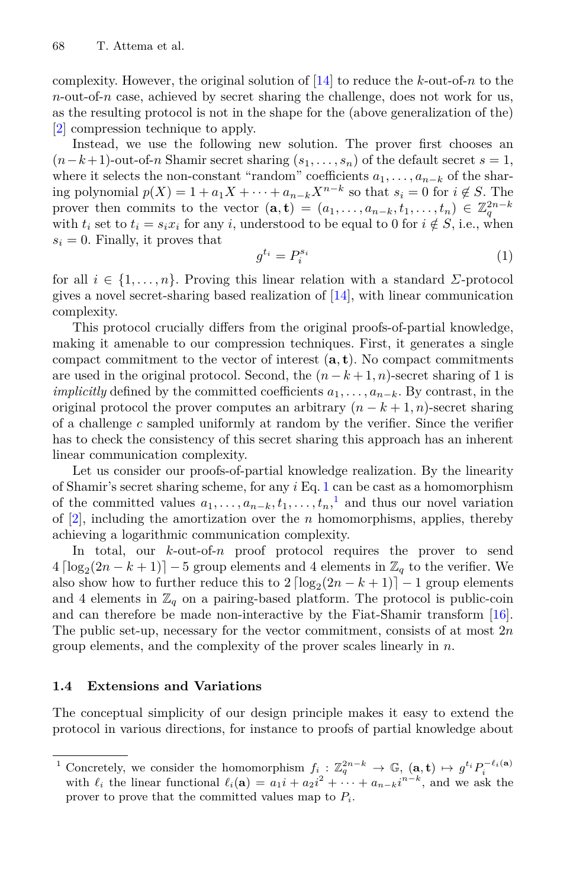complexity. However, the original solution of [\[14](#page-24-0)] to reduce the *k*-out-of-*n* to the *n*-out-of-*n* case, achieved by secret sharing the challenge, does not work for us, as the resulting protocol is not in the shape for the (above generalization of the) [\[2](#page-23-2)] compression technique to apply.

Instead, we use the following new solution. The prover first chooses an  $(n-k+1)$ -out-of-*n* Shamir secret sharing  $(s_1, \ldots, s_n)$  of the default secret  $s = 1$ , where it selects the non-constant "random" coefficients  $a_1, \ldots, a_{n-k}$  of the sharing polynomial  $p(X) = 1 + a_1 X + \cdots + a_{n-k} X^{n-k}$  so that  $s_i = 0$  for  $i \notin S$ . The prover then commits to the vector  $(\mathbf{a}, \mathbf{t}) = (a_1, \ldots, a_{n-k}, t_1, \ldots, t_n) \in \mathbb{Z}_q^{2n-k}$ with  $t_i$  set to  $t_i = s_i x_i$  for any *i*, understood to be equal to 0 for  $i \notin S$ , i.e., when  $s_i = 0$ . Finally, it proves that

<span id="page-3-0"></span>
$$
g^{t_i} = P_i^{s_i} \tag{1}
$$

for all *i* ∈ {1*,...,n*}. Proving this linear relation with a standard *Σ*-protocol gives a novel secret-sharing based realization of [\[14](#page-24-0)], with linear communication complexity.

This protocol crucially differs from the original proofs-of-partial knowledge, making it amenable to our compression techniques. First, it generates a single compact commitment to the vector of interest (**a***,* **<sup>t</sup>**). No compact commitments are used in the original protocol. Second, the  $(n - k + 1, n)$ -secret sharing of 1 is *implicitly* defined by the committed coefficients *a*1*,...,a<sup>n</sup>*−*<sup>k</sup>*. By contrast, in the original protocol the prover computes an arbitrary  $(n - k + 1, n)$ -secret sharing of a challenge *c* sampled uniformly at random by the verifier. Since the verifier has to check the consistency of this secret sharing this approach has an inherent linear communication complexity.

Let us consider our proofs-of-partial knowledge realization. By the linearity of Shamir's secret sharing scheme, for any *i* Eq. [1](#page-3-0) can be cast as a homomorphism of the committed values  $a_1, \ldots, a_{n-k}, t_1, \ldots, t_n$  $a_1, \ldots, a_{n-k}, t_1, \ldots, t_n$  $a_1, \ldots, a_{n-k}, t_1, \ldots, t_n$ <sup>1</sup>, and thus our novel variation<br>of [2] including the amortization over the *n* homomorphisms applies thereby of [\[2](#page-23-2)], including the amortization over the *n* homomorphisms, applies, thereby achieving a logarithmic communication complexity.

In total, our *k*-out-of-*n* proof protocol requires the prover to send  $4 \left[ \log_2(2n - k + 1) \right] - 5$  group elements and 4 elements in  $\mathbb{Z}_q$  to the verifier. We also show how to further reduce this to  $2 \left[ \log_2(2n - k + 1) \right] - 1$  group elements and 4 elements in  $\mathbb{Z}_q$  on a pairing-based platform. The protocol is public-coin and can therefore be made non-interactive by the Fiat-Shamir transform [\[16\]](#page-24-3). The public set-up, necessary for the vector commitment, consists of at most 2*n* group elements, and the complexity of the prover scales linearly in *n*.

#### **1.4 Extensions and Variations**

The conceptual simplicity of our design principle makes it easy to extend the protocol in various directions, for instance to proofs of partial knowledge about

<span id="page-3-1"></span><sup>&</sup>lt;sup>1</sup> Concretely, we consider the homomorphism  $f_i : \mathbb{Z}_q^{2n-k} \to \mathbb{G}$ ,  $(\mathbf{a}, \mathbf{t}) \mapsto g^{t_i} P_i^{-\ell_i(\mathbf{a})}$ <br>with  $\ell_i$  the linear functional  $\ell_i(\mathbf{a}) = a_1 i + a_2 i^2 + \cdots + a_{n-k} i^{n-k}$ , and we ask the prover to prove that the committed values map to *P<sup>i</sup>*.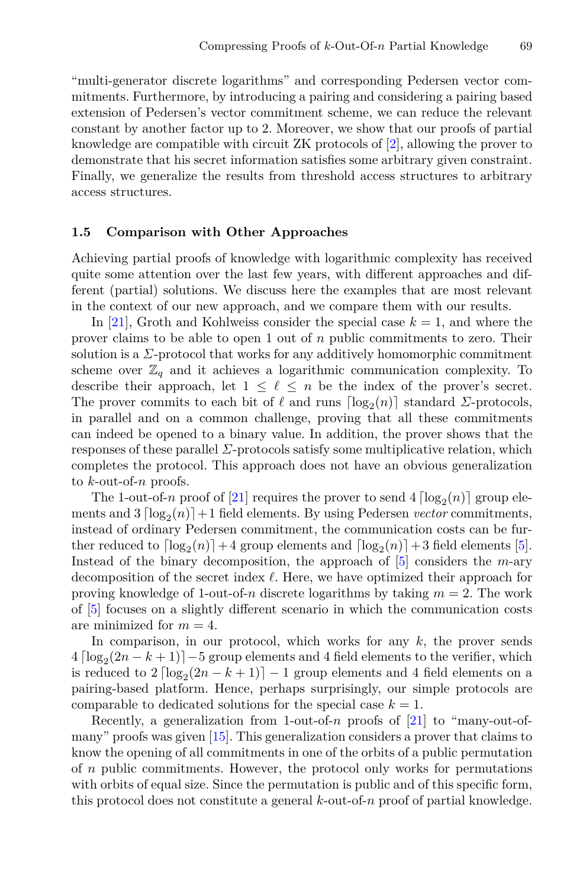"multi-generator discrete logarithms" and corresponding Pedersen vector commitments. Furthermore, by introducing a pairing and considering a pairing based extension of Pedersen's vector commitment scheme, we can reduce the relevant constant by another factor up to 2. Moreover, we show that our proofs of partial knowledge are compatible with circuit ZK protocols of [\[2](#page-23-2)], allowing the prover to demonstrate that his secret information satisfies some arbitrary given constraint. Finally, we generalize the results from threshold access structures to arbitrary access structures.

#### <span id="page-4-0"></span>**1.5 Comparison with Other Approaches**

Achieving partial proofs of knowledge with logarithmic complexity has received quite some attention over the last few years, with different approaches and different (partial) solutions. We discuss here the examples that are most relevant in the context of our new approach, and we compare them with our results.

In [\[21\]](#page-24-8), Groth and Kohlweiss consider the special case  $k = 1$ , and where the prover claims to be able to open 1 out of *n* public commitments to zero. Their solution is a  $\Sigma$ -protocol that works for any additively homomorphic commitment scheme over  $\mathbb{Z}_q$  and it achieves a logarithmic communication complexity. To describe their approach, let  $1 \leq \ell \leq n$  be the index of the prover's secret. The prover commits to each bit of  $\ell$  and runs  $\lceil \log_2(n) \rceil$  standard *Σ*-protocols, in parallel and on a common challenge, proving that all these commitments can indeed be opened to a binary value. In addition, the prover shows that the responses of these parallel *Σ*-protocols satisfy some multiplicative relation, which completes the protocol. This approach does not have an obvious generalization to *k*-out-of-*n* proofs.

The 1-out-of-*n* proof of [\[21\]](#page-24-8) requires the prover to send  $4 \lceil \log_2(n) \rceil$  group elements and  $3 \left[ \log_2(n) \right] + 1$  field elements. By using Pedersen *vector* commitments, instead of ordinary Pedersen commitment, the communication costs can be further reduced to  $\lceil \log_2(n) \rceil + 4$  group elements and  $\lceil \log_2(n) \rceil + 3$  field elements [\[5\]](#page-23-6). Instead of the binary decomposition, the approach of [\[5](#page-23-6)] considers the *m*-ary decomposition of the secret index  $\ell$ . Here, we have optimized their approach for proving knowledge of 1-out-of-*n* discrete logarithms by taking  $m = 2$ . The work of [\[5](#page-23-6)] focuses on a slightly different scenario in which the communication costs are minimized for  $m = 4$ .

In comparison, in our protocol, which works for any *k*, the prover sends  $4 \left[ \log_2(2n - k + 1) \right] - 5$  group elements and 4 field elements to the verifier, which is reduced to  $2 \left[ \log_2(2n - k + 1) \right] - 1$  group elements and 4 field elements on a pairing-based platform. Hence, perhaps surprisingly, our simple protocols are comparable to dedicated solutions for the special case  $k = 1$ .

Recently, a generalization from 1-out-of-*n* proofs of [\[21](#page-24-8)] to "many-out-ofmany" proofs was given [\[15](#page-24-7)]. This generalization considers a prover that claims to know the opening of all commitments in one of the orbits of a public permutation of *n* public commitments. However, the protocol only works for permutations with orbits of equal size. Since the permutation is public and of this specific form, this protocol does not constitute a general *k*-out-of-*n* proof of partial knowledge.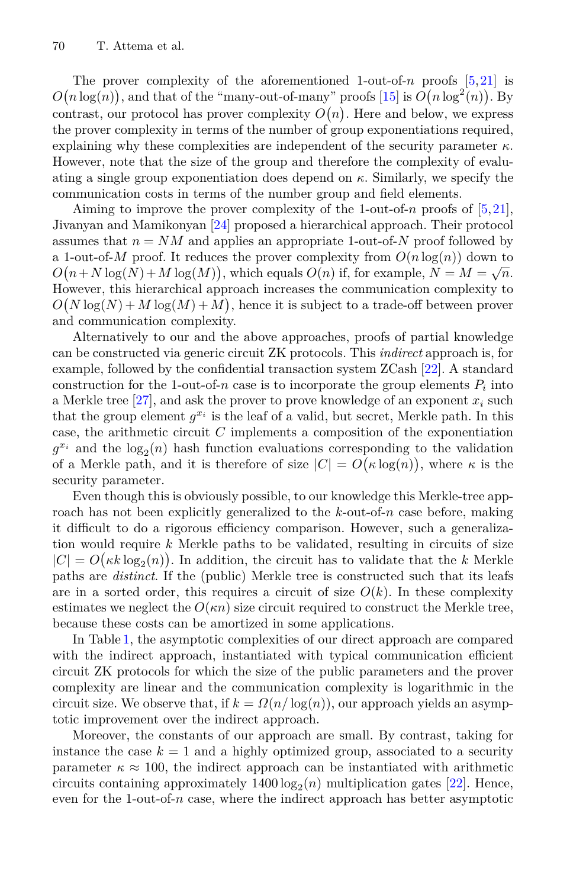The prover complexity of the aforementioned 1-out-of-*n* proofs [\[5,](#page-23-6)[21](#page-24-8)] is contrast, our protocol has prover complexity  $O(n)$ . Here and below, we express<br>the prover complexity in terms of the number of group exponentiations required  $(n \log(n))$ , and that of the "many-out-of-many" proofs [\[15\]](#page-24-7) is  $O(n \log^2(n))$ . By the prover complexity in terms of the number of group exponentiations required, explaining why these complexities are independent of the security parameter  $\kappa$ . However, note that the size of the group and therefore the complexity of evaluating a single group exponentiation does depend on *κ*. Similarly, we specify the communication costs in terms of the number group and field elements.

Aiming to improve the prover complexity of the 1-out-of-*n* proofs of [\[5,](#page-23-6)[21\]](#page-24-8), Jivanyan and Mamikonyan [\[24](#page-24-9)] proposed a hierarchical approach. Their protocol assumes that  $n = NM$  and applies an appropriate 1-out-of-*N* proof followed by a 1-out-of-*M* proof. It reduces the prover complexity from  $O(n \log(n))$  down to However, this hierarchical approach increases the communication complexity to  $(n+N \log(N)+M \log(M))$ , which equals  $O(n)$  if, for example,  $N = M = \sqrt{n}$ .<br>
owever this hierarchical approach increases the communication complexity to and communication complexity.  $(N \log(N) + M \log(M) + M)$ , hence it is subject to a trade-off between prover<br>of communication complexity

Alternatively to our and the above approaches, proofs of partial knowledge can be constructed via generic circuit ZK protocols. This *indirect* approach is, for example, followed by the confidential transaction system ZCash [\[22](#page-24-1)]. A standard construction for the 1-out-of-*n* case is to incorporate the group elements  $P_i$  into a Merkle tree [\[27\]](#page-24-10), and ask the prover to prove knowledge of an exponent *<sup>x</sup><sup>i</sup>* such that the group element  $g^{x_i}$  is the leaf of a valid, but secret, Merkle path. In this case, the arithmetic circuit *C* implements a composition of the exponentiation  $g^{x_i}$  and the  $\log_2(n)$  hash function evaluations corresponding to the validation of a Merkle path, and it is therefore of size  $|C| = O(\kappa \log(n))$ , where  $\kappa$  is the security parameter security parameter.

Even though this is obviously possible, to our knowledge this Merkle-tree approach has not been explicitly generalized to the *k*-out-of-*n* case before, making it difficult to do a rigorous efficiency comparison. However, such a generalization would require *k* Merkle paths to be validated, resulting in circuits of size  $|C| = O(\kappa k \log_2(n))$ . In addition, the circuit has to validate that the *k* Merkle paths are *distinct*. If the (public) Merkle tree is constructed such that its leafs are in a sorted order, this requires a circuit of size  $O(k)$ . In these complexity estimates we neglect the  $O(\kappa n)$  size circuit required to construct the Merkle tree, because these costs can be amortized in some applications.

In Table [1,](#page-6-0) the asymptotic complexities of our direct approach are compared with the indirect approach, instantiated with typical communication efficient circuit ZK protocols for which the size of the public parameters and the prover complexity are linear and the communication complexity is logarithmic in the circuit size. We observe that, if  $k = \Omega(n/\log(n))$ , our approach yields an asymptotic improvement over the indirect approach.

Moreover, the constants of our approach are small. By contrast, taking for instance the case  $k = 1$  and a highly optimized group, associated to a security parameter  $\kappa \approx 100$ , the indirect approach can be instantiated with arithmetic circuits containing approximately  $1400 \log_2(n)$  multiplication gates [\[22](#page-24-1)]. Hence, even for the 1-out-of-*n* case, where the indirect approach has better asymptotic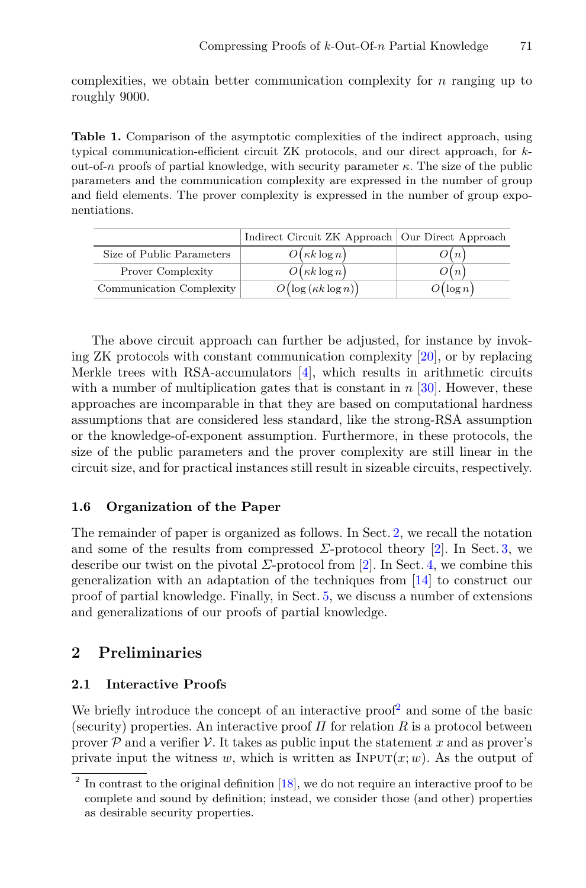complexities, we obtain better communication complexity for *n* ranging up to roughly 9000.

<span id="page-6-0"></span>**Table 1.** Comparison of the asymptotic complexities of the indirect approach, using typical communication-efficient circuit ZK protocols, and our direct approach, for *k*out-of-*n* proofs of partial knowledge, with security parameter *κ*. The size of the public parameters and the communication complexity are expressed in the number of group and field elements. The prover complexity is expressed in the number of group exponentiations.

|                           | Indirect Circuit ZK Approach   Our Direct Approach |                  |
|---------------------------|----------------------------------------------------|------------------|
| Size of Public Parameters | $O(\kappa k \log n)$                               | $\mathcal{D}(n)$ |
| <b>Prover Complexity</b>  | $O(\kappa k \log n)$                               | O(n)             |
| Communication Complexity  | $O\bigl(\log\left(\kappa k\log n\right)\bigr)$     | $O(\log n)$      |

The above circuit approach can further be adjusted, for instance by invoking ZK protocols with constant communication complexity [\[20](#page-24-11)], or by replacing Merkle trees with RSA-accumulators [\[4](#page-23-7)], which results in arithmetic circuits with a number of multiplication gates that is constant in *n* [\[30\]](#page-25-2). However, these approaches are incomparable in that they are based on computational hardness assumptions that are considered less standard, like the strong-RSA assumption or the knowledge-of-exponent assumption. Furthermore, in these protocols, the size of the public parameters and the prover complexity are still linear in the circuit size, and for practical instances still result in sizeable circuits, respectively.

## **1.6 Organization of the Paper**

The remainder of paper is organized as follows. In Sect. [2,](#page-6-1) we recall the notation and some of the results from compressed  $\Sigma$ -protocol theory [\[2\]](#page-23-2). In Sect. [3,](#page-9-0) we describe our twist on the pivotal  $\Sigma$ -protocol from [\[2\]](#page-23-2). In Sect. [4,](#page-16-0) we combine this generalization with an adaptation of the techniques from [\[14](#page-24-0)] to construct our proof of partial knowledge. Finally, in Sect. [5,](#page-19-0) we discuss a number of extensions and generalizations of our proofs of partial knowledge.

## <span id="page-6-1"></span>**2 Preliminaries**

## **2.1 Interactive Proofs**

We briefly introduce the concept of an interactive proof<sup>[2](#page-6-2)</sup> and some of the basic (security) properties. An interactive proof  $\Pi$  for relation  $R$  is a protocol between prover  $\mathcal P$  and a verifier  $\mathcal V$ . It takes as public input the statement x and as prover's private input the witness *w*, which is written as  $INPUT(x; w)$ . As the output of

<span id="page-6-2"></span> $2 \text{ In contrast to the original definition [18], we do not require an interactive proof to be}$  $2 \text{ In contrast to the original definition [18], we do not require an interactive proof to be}$  $2 \text{ In contrast to the original definition [18], we do not require an interactive proof to be}$ complete and sound by definition; instead, we consider those (and other) properties as desirable security properties.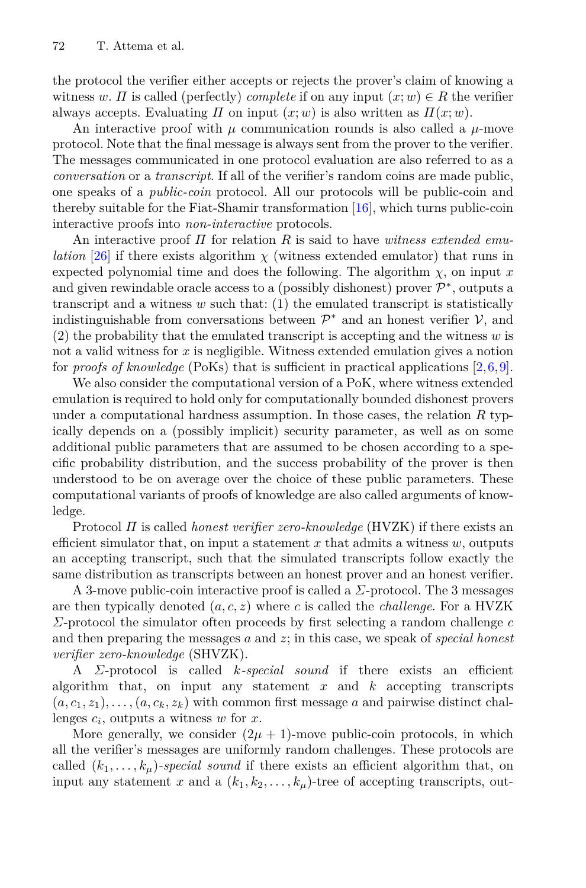the protocol the verifier either accepts or rejects the prover's claim of knowing a witness *w*. *Π* is called (perfectly) *complete* if on any input  $(x; w) \in R$  the verifier always accepts. Evaluating *Π* on input  $(x; w)$  is also written as  $\Pi(x; w)$ .

An interactive proof with  $\mu$  communication rounds is also called a  $\mu$ -move protocol. Note that the final message is always sent from the prover to the verifier. The messages communicated in one protocol evaluation are also referred to as a *conversation* or a *transcript*. If all of the verifier's random coins are made public, one speaks of a *public-coin* protocol. All our protocols will be public-coin and thereby suitable for the Fiat-Shamir transformation  $[16]$ , which turns public-coin interactive proofs into *non-interactive* protocols.

An interactive proof *Π* for relation *R* is said to have *witness extended emulation* [\[26](#page-24-13)] if there exists algorithm  $\chi$  (witness extended emulator) that runs in expected polynomial time and does the following. The algorithm  $\chi$ , on input  $x$ and given rewindable oracle access to a (possibly dishonest) prover  $\mathcal{P}^*$ , outputs a transcript and a witness *w* such that: (1) the emulated transcript is statistically indistinguishable from conversations between  $\mathcal{P}^*$  and an honest verifier  $\mathcal{V}$ , and (2) the probability that the emulated transcript is accepting and the witness *w* is not a valid witness for *x* is negligible. Witness extended emulation gives a notion for *proofs of knowledge* (PoKs) that is sufficient in practical applications [\[2](#page-23-2),[6,](#page-23-0)[9\]](#page-23-1).

We also consider the computational version of a PoK, where witness extended emulation is required to hold only for computationally bounded dishonest provers under a computational hardness assumption. In those cases, the relation *R* typically depends on a (possibly implicit) security parameter, as well as on some additional public parameters that are assumed to be chosen according to a specific probability distribution, and the success probability of the prover is then understood to be on average over the choice of these public parameters. These computational variants of proofs of knowledge are also called arguments of knowledge.

Protocol *Π* is called *honest verifier zero-knowledge* (HVZK) if there exists an efficient simulator that, on input a statement  $x$  that admits a witness  $w$ , outputs an accepting transcript, such that the simulated transcripts follow exactly the same distribution as transcripts between an honest prover and an honest verifier.

A 3-move public-coin interactive proof is called a *Σ*-protocol. The 3 messages are then typically denoted (*a, c, z*) where *c* is called the *challenge*. For a HVZK *Σ*-protocol the simulator often proceeds by first selecting a random challenge *c* and then preparing the messages *a* and *z*; in this case, we speak of *special honest verifier zero-knowledge* (SHVZK).

<sup>A</sup> *Σ*-protocol is called *k-special sound* if there exists an efficient algorithm that, on input any statement *x* and *k* accepting transcripts  $(a, c_1, z_1), \ldots, (a, c_k, z_k)$  with common first message *a* and pairwise distinct challenges *c<sup>i</sup>*, outputs a witness *<sup>w</sup>* for *<sup>x</sup>*.

More generally, we consider  $(2\mu + 1)$ -move public-coin protocols, in which all the verifier's messages are uniformly random challenges. These protocols are called  $(k_1, \ldots, k_\mu)$ *-special sound* if there exists an efficient algorithm that, on input any statement *x* and a  $(k_1, k_2, \ldots, k_\mu)$ -tree of accepting transcripts, out-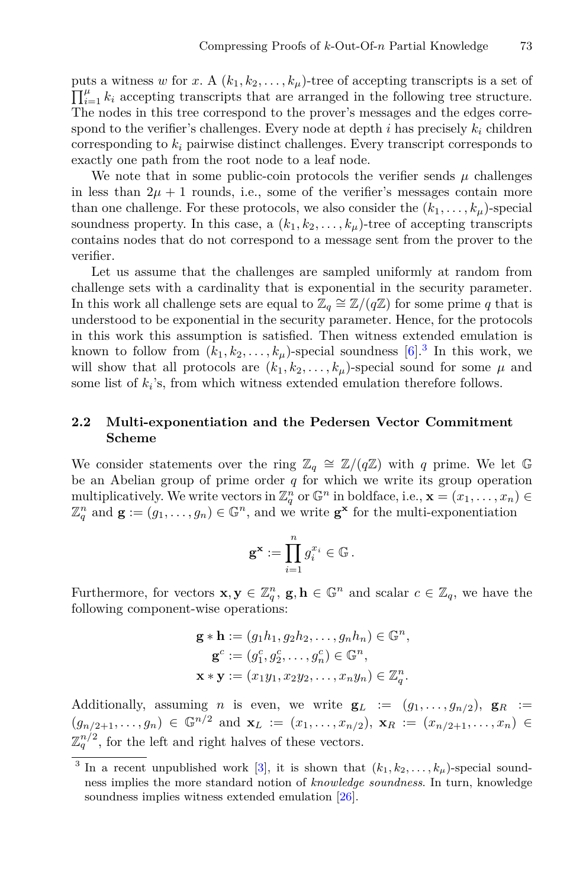puts a witness w for *x*. A  $(k_1, k_2, \ldots, k_\mu)$ -tree of accepting transcripts is a set of  $\Pi^{\mu}$ , *k* accepting transcripts that are arranged in the following tree structure  $\prod_{i=1}^{\mu} k_i$  accepting transcripts that are arranged in the following tree structure.<br>The nodes in this tree correspond to the prover's messages and the edges corre-The nodes in this tree correspond to the prover's messages and the edges correspond to the verifier's challenges. Every node at depth  $i$  has precisely  $k_i$  children corresponding to *<sup>k</sup><sup>i</sup>* pairwise distinct challenges. Every transcript corresponds to exactly one path from the root node to a leaf node.

We note that in some public-coin protocols the verifier sends  $\mu$  challenges in less than  $2\mu + 1$  rounds, i.e., some of the verifier's messages contain more than one challenge. For these protocols, we also consider the  $(k_1, \ldots, k_\mu)$ -special soundness property. In this case, a  $(k_1, k_2, \ldots, k_\mu)$ -tree of accepting transcripts contains nodes that do not correspond to a message sent from the prover to the verifier.

Let us assume that the challenges are sampled uniformly at random from challenge sets with a cardinality that is exponential in the security parameter. In this work all challenge sets are equal to  $\mathbb{Z}_q \cong \mathbb{Z}/(q\mathbb{Z})$  for some prime *q* that is understood to be exponential in the security parameter. Hence, for the protocols in this work this assumption is satisfied. Then witness extended emulation is known to follow from  $(k_1, k_2, \ldots, k_\mu)$ -special soundness [\[6](#page-23-0)].<sup>[3](#page-8-0)</sup> In this work, we will show that all protocols are  $(k_1, k_2, \ldots, k_\mu)$ -special sound for some  $\mu$  and some list of  $k_i$ 's, from which witness extended emulation therefore follows.

## **2.2 Multi-exponentiation and the Pedersen Vector Commitment Scheme**

We consider statements over the ring  $\mathbb{Z}_q \cong \mathbb{Z}/(q\mathbb{Z})$  with *q* prime. We let G be an Abelian group of prime order *q* for which we write its group operation multiplicatively. We write vectors in  $\mathbb{Z}_q^n$  or  $\mathbb{G}^n$  in boldface, i.e.,  $\mathbf{x} = (x_1, \ldots, x_n) \in \mathbb{Z}^n$  and  $\mathbf{x} := (a_1, \ldots, a_n) \in \mathbb{G}^n$  and we write  $\mathbf{x}^{\mathbf{x}}$  for the multi-exponentiation  $\mathbb{Z}_q^n$  and  $\mathbf{g} := (g_1, \ldots, g_n) \in \mathbb{G}^n$ , and we write  $\mathbf{g}^{\mathbf{x}}$  for the multi-exponentiation

$$
\mathbf{g}^{\mathbf{x}} := \prod_{i=1}^n g_i^{x_i} \in \mathbb{G}.
$$

Furthermore, for vectors  $\mathbf{x}, \mathbf{y} \in \mathbb{Z}_q^n$ ,  $\mathbf{g}, \mathbf{h} \in \mathbb{G}^n$  and scalar  $c \in \mathbb{Z}_q$ , we have the following component-wise operations: following component-wise operations:

$$
\mathbf{g} * \mathbf{h} := (g_1 h_1, g_2 h_2, \dots, g_n h_n) \in \mathbb{G}^n,
$$
  

$$
\mathbf{g}^c := (g_1^c, g_2^c, \dots, g_n^c) \in \mathbb{G}^n,
$$
  

$$
\mathbf{x} * \mathbf{y} := (x_1 y_1, x_2 y_2, \dots, x_n y_n) \in \mathbb{Z}_q^n.
$$

Additionally, assuming *n* is even, we write  $\mathbf{g}_L := (g_1, \ldots, g_{n/2}), \mathbf{g}_R :=$  $(g_{n/2+1},...,g_n)$  ∈  $\mathbb{G}^{n/2}$  and  $\mathbf{x}_L := (x_1,...,x_{n/2}), \mathbf{x}_R := (x_{n/2+1},...,x_n)$  ∈  $\mathbb{Z}_q^{n/2}$ , for the left and right halves of these vectors.

<span id="page-8-0"></span><sup>&</sup>lt;sup>3</sup> In a recent unpublished work [\[3](#page-23-8)], it is shown that  $(k_1, k_2, \ldots, k_\mu)$ -special soundness implies the more standard notion of *knowledge soundness*. In turn, knowledge soundness implies witness extended emulation [\[26](#page-24-13)].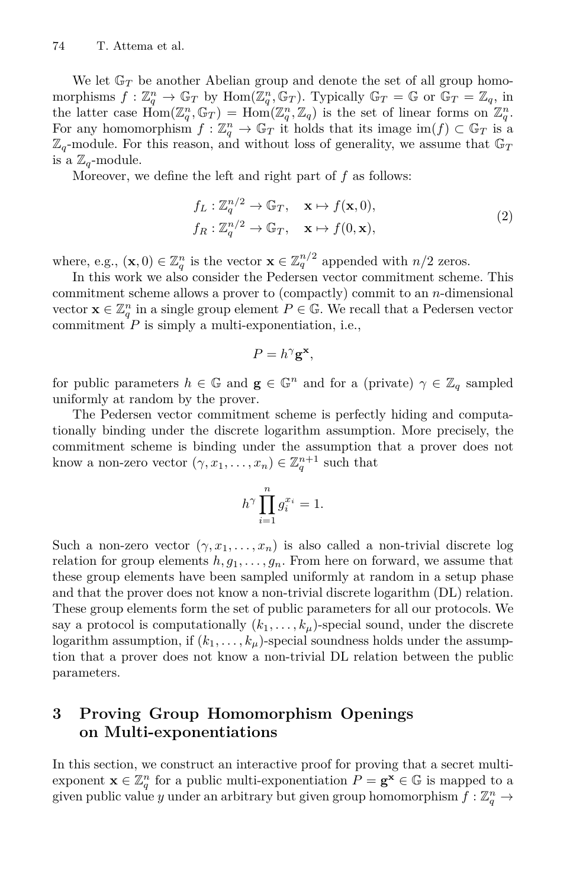We let  $\mathbb{G}_T$  be another Abelian group and denote the set of all group homomorphisms  $f : \mathbb{Z}_q^n \to \mathbb{G}_T$  by  $\text{Hom}(\mathbb{Z}_q^n, \mathbb{G}_T)$ . Typically  $\mathbb{G}_T = \mathbb{G}$  or  $\mathbb{G}_T = \mathbb{Z}_q$ , in the latter case  $\text{Hom}(\mathbb{Z}^n, \mathbb{G}_T) = \text{Hom}(\mathbb{Z}^n, \mathbb{Z})$  is the set of linear forms on  $\mathbb{Z}^n$ the latter case  $\text{Hom}(\mathbb{Z}_q^n, \mathbb{G}_T) = \text{Hom}(\mathbb{Z}_q^n, \mathbb{Z}_q)$  is the set of linear forms on  $\mathbb{Z}_q^n$ .<br>For any homomorphism  $f: \mathbb{Z}^n \to \mathbb{G}_T$  it holds that its image im(f)  $\subset \mathbb{G}_T$  is a For any homomorphism  $f: \mathbb{Z}_q^n \to \mathbb{G}_T$  it holds that its image  $\text{im}(f) \subset \mathbb{G}_T$  is a<br>Z<sub>r</sub>-module. For this reason, and without loss of generality, we assume that  $\mathbb{G}_T$  $\mathbb{Z}_q$ -module. For this reason, and without loss of generality, we assume that  $\mathbb{G}_T$ is a  $\mathbb{Z}_q$ -module.

Moreover, we define the left and right part of *f* as follows:

$$
f_L: \mathbb{Z}_q^{n/2} \to \mathbb{G}_T, \quad \mathbf{x} \mapsto f(\mathbf{x}, 0),
$$
  
\n
$$
f_R: \mathbb{Z}_q^{n/2} \to \mathbb{G}_T, \quad \mathbf{x} \mapsto f(0, \mathbf{x}),
$$
\n(2)

where, e.g.,  $(\mathbf{x}, 0) \in \mathbb{Z}_q^n$  is the vector  $\mathbf{x} \in \mathbb{Z}_q^{n/2}$  appended with  $n/2$  zeros.<br>In this work we also consider the Pedersen vector commitment scheme

In this work we also consider the Pedersen vector commitment scheme. This commitment scheme allows a prover to (compactly) commit to an *n*-dimensional vector  $\mathbf{x} \in \mathbb{Z}_q^n$  in a single group element  $P \in \mathbb{G}$ . We recall that a Pedersen vector commitment P is simply a multi-exponentiation i.e. commitment  $P$  is simply a multi-exponentiation, i.e.,

$$
P=h^{\gamma}\mathbf{g}^{\mathbf{x}},
$$

for public parameters  $h \in \mathbb{G}$  and  $\mathbf{g} \in \mathbb{G}^n$  and for a (private)  $\gamma \in \mathbb{Z}_q$  sampled uniformly at random by the prover.

The Pedersen vector commitment scheme is perfectly hiding and computationally binding under the discrete logarithm assumption. More precisely, the commitment scheme is binding under the assumption that a prover does not know a non-zero vector  $(\gamma, x_1, \ldots, x_n) \in \mathbb{Z}_q^{n+1}$  such that

$$
h^{\gamma} \prod_{i=1}^{n} g_i^{x_i} = 1.
$$

Such a non-zero vector  $(\gamma, x_1, \ldots, x_n)$  is also called a non-trivial discrete log relation for group elements  $h, g_1, \ldots, g_n$ . From here on forward, we assume that these group elements have been sampled uniformly at random in a setup phase and that the prover does not know a non-trivial discrete logarithm (DL) relation. These group elements form the set of public parameters for all our protocols. We say a protocol is computationally  $(k_1, \ldots, k_\mu)$ -special sound, under the discrete logarithm assumption, if  $(k_1, \ldots, k_\mu)$ -special soundness holds under the assumption that a prover does not know a non-trivial DL relation between the public parameters.

## <span id="page-9-0"></span>**3 Proving Group Homomorphism Openings on Multi-exponentiations**

In this section, we construct an interactive proof for proving that a secret multiexponent  $\mathbf{x} \in \mathbb{Z}_q^n$  for a public multi-exponentiation  $P = \mathbf{g}^{\mathbf{x}} \in \mathbb{G}$  is mapped to a given public value u under an arbitrary but given group homomorphism  $f : \mathbb{Z}^n \to$ given public value *y* under an arbitrary but given group homomorphism  $f : \mathbb{Z}_q^n \to$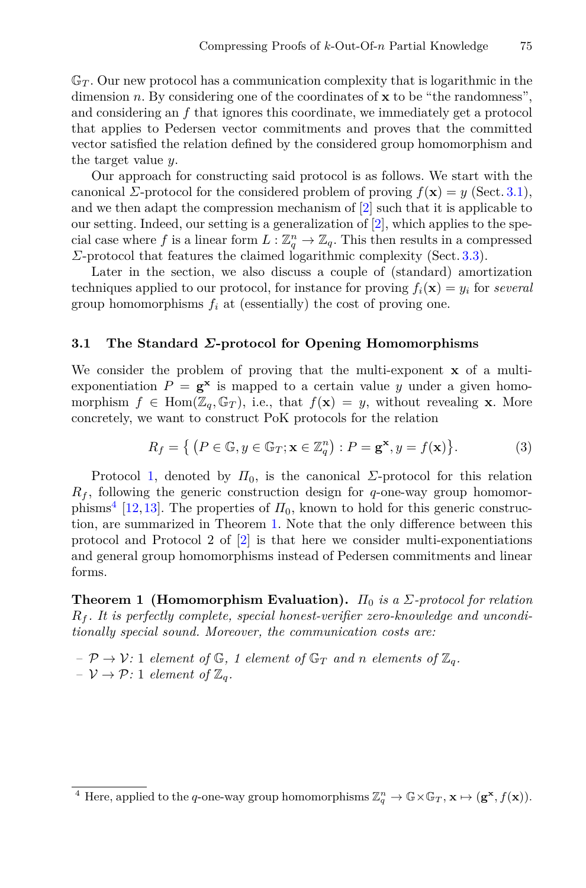$\mathbb{G}_T$ . Our new protocol has a communication complexity that is logarithmic in the dimension *n*. By considering one of the coordinates of **<sup>x</sup>** to be "the randomness", and considering an *f* that ignores this coordinate, we immediately get a protocol that applies to Pedersen vector commitments and proves that the committed vector satisfied the relation defined by the considered group homomorphism and the target value *y*.

Our approach for constructing said protocol is as follows. We start with the canonical *Σ*-protocol for the considered problem of proving  $f(\mathbf{x}) = y$  (Sect. [3.1\)](#page-10-0), and we then adapt the compression mechanism of [\[2](#page-23-2)] such that it is applicable to our setting. Indeed, our setting is a generalization of [\[2](#page-23-2)], which applies to the special case where *f* is a linear form  $L : \mathbb{Z}_q^n \to \mathbb{Z}_q$ . This then results in a compressed  $\Sigma$ -protocol that features the claimed logarithmic complexity (Sect. 3.3) *Σ*-protocol that features the claimed logarithmic complexity (Sect. [3.3\)](#page-13-0).

Later in the section, we also discuss a couple of (standard) amortization techniques applied to our protocol, for instance for proving  $f_i(\mathbf{x}) = y_i$  for *several* group homomorphisms  $f_i$  at (essentially) the cost of proving one.

#### <span id="page-10-0"></span>**3.1 The Standard** *Σ***-protocol for Opening Homomorphisms**

We consider the problem of proving that the multi-exponent **x** of a multiexponentiation  $P = g^x$  is mapped to a certain value *y* under a given homomorphism  $f \in \text{Hom}(\mathbb{Z}_q, \mathbb{G}_T)$ , i.e., that  $f(\mathbf{x}) = y$ , without revealing **x**. More concretely, we want to construct PoK protocols for the relation

$$
R_f = \left\{ \left( P \in \mathbb{G}, y \in \mathbb{G}_T; \mathbf{x} \in \mathbb{Z}_q^n \right) : P = \mathbf{g}^\mathbf{x}, y = f(\mathbf{x}) \right\}.
$$
 (3)

Protocol [1,](#page-11-0) denoted by  $\Pi_0$ , is the canonical *Σ*-protocol for this relation  $R_f$ , following the generic construction design for  $q$ -one-way group homomor-phisms<sup>[4](#page-10-1)</sup> [\[12](#page-24-14),[13\]](#page-24-15). The properties of  $\Pi_0$ , known to hold for this generic construction, are summarized in Theorem [1.](#page-10-2) Note that the only difference between this protocol and Protocol 2 of  $\boxed{2}$  is that here we consider multi-exponentiations and general group homomorphisms instead of Pedersen commitments and linear forms.

<span id="page-10-2"></span>**Theorem 1 (Homomorphism Evaluation).** *<sup>Π</sup>*<sup>0</sup> *is a <sup>Σ</sup>-protocol for relation <sup>R</sup><sup>f</sup> . It is perfectly complete, special honest-verifier zero-knowledge and unconditionally special sound. Moreover, the communication costs are:*

 $P \rightarrow V: 1$  *element of*  $\mathbb{G}$ *, 1 element of*  $\mathbb{G}_T$  *and n elements of*  $\mathbb{Z}_q$ *.*  $-V \rightarrow \mathcal{P}$ : 1 *element of*  $\mathbb{Z}_q$ *.* 

<span id="page-10-1"></span><sup>&</sup>lt;sup>4</sup> Here, applied to the *q*-one-way group homomorphisms  $\mathbb{Z}_q^n \to \mathbb{G} \times \mathbb{G}_T$ ,  $\mathbf{x} \mapsto (\mathbf{g}^\mathbf{x}, f(\mathbf{x}))$ .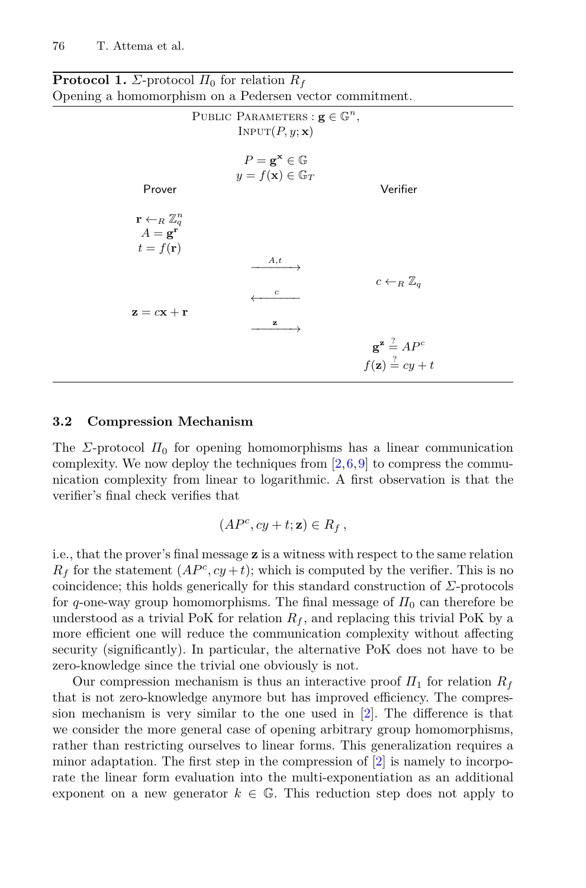<span id="page-11-0"></span>

| ening a homomorphism on a Pedersen vector commitment.                                            |                                                                                      |                                                                                          |  |  |
|--------------------------------------------------------------------------------------------------|--------------------------------------------------------------------------------------|------------------------------------------------------------------------------------------|--|--|
| PUBLIC PARAMETERS : $g \in \mathbb{G}^n$ ,<br>$INPUT(P, y; \mathbf{x})$                          |                                                                                      |                                                                                          |  |  |
| Prover                                                                                           | $P = \mathbf{g}^{\mathbf{x}} \in \mathbb{G}$<br>$y = f(\mathbf{x}) \in \mathbb{G}_T$ | Verifier                                                                                 |  |  |
| $\mathbf{r} \leftarrow_R \mathbb{Z}_q^n$<br>$A = \mathbf{g}^{\mathbf{r}}$<br>$t = f(\mathbf{r})$ |                                                                                      |                                                                                          |  |  |
|                                                                                                  | A,t<br>$\boldsymbol{c}$                                                              | $c \leftarrow_R \mathbb{Z}_q$                                                            |  |  |
| $z = cx + r$                                                                                     | z                                                                                    | $\mathbf{g}^{\mathbf{z}} \stackrel{?}{=} AP^c$<br>$f(\mathbf{z}) \stackrel{?}{=} cy + t$ |  |  |
|                                                                                                  |                                                                                      |                                                                                          |  |  |

**Protocol 1.** *Σ*-protocol  $\Pi_0$  for relation  $R_f$ <br>Opening a homomorphism on a Pedersen ve Opening a homomorphism on a Pedersen vector commitment.

#### **3.2 Compression Mechanism**

The *Σ*-protocol  $\Pi_0$  for opening homomorphisms has a linear communication complexity. We now deploy the techniques from  $[2,6,9]$  $[2,6,9]$  $[2,6,9]$  $[2,6,9]$  to compress the communication complexity from linear to logarithmic. A first observation is that the verifier's final check verifies that

$$
(AP^c, cy+t; \mathbf{z}) \in R_f,
$$

i.e., that the prover's final message **z** is a witness with respect to the same relation  $R_f$  for the statement  $(AP^c, cy+t)$ ; which is computed by the verifier. This is no coincidence; this holds generically for this standard construction of *Σ*-protocols for  $q$ -one-way group homomorphisms. The final message of  $\Pi_0$  can therefore be understood as a trivial PoK for relation  $R_f$ , and replacing this trivial PoK by a more efficient one will reduce the communication complexity without affecting security (significantly). In particular, the alternative PoK does not have to be zero-knowledge since the trivial one obviously is not.

Our compression mechanism is thus an interactive proof  $\Pi_1$  for relation  $R_f$ that is not zero-knowledge anymore but has improved efficiency. The compression mechanism is very similar to the one used in [\[2](#page-23-2)]. The difference is that we consider the more general case of opening arbitrary group homomorphisms, rather than restricting ourselves to linear forms. This generalization requires a minor adaptation. The first step in the compression of  $[2]$  is namely to incorporate the linear form evaluation into the multi-exponentiation as an additional exponent on a new generator  $k \in \mathbb{G}$ . This reduction step does not apply to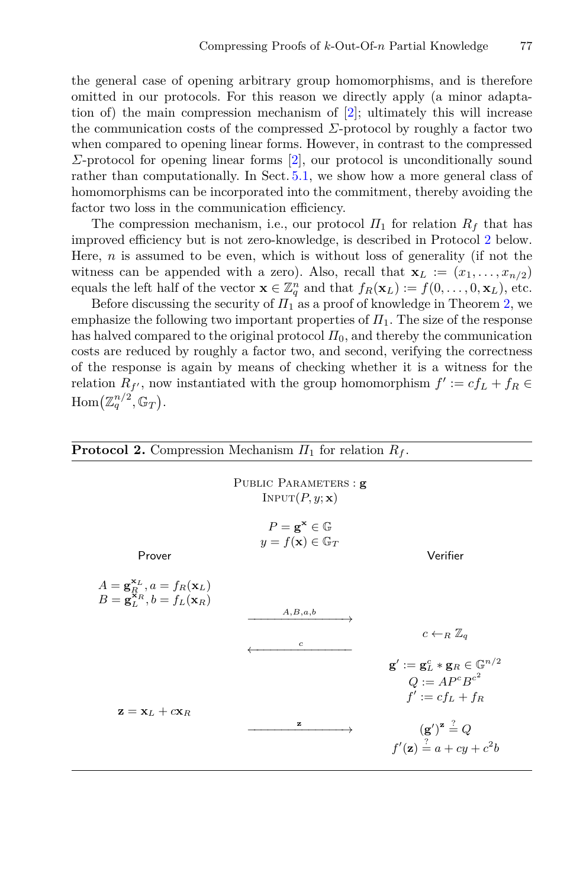the general case of opening arbitrary group homomorphisms, and is therefore omitted in our protocols. For this reason we directly apply (a minor adaptation of) the main compression mechanism of [\[2\]](#page-23-2); ultimately this will increase the communication costs of the compressed *Σ*-protocol by roughly a factor two when compared to opening linear forms. However, in contrast to the compressed *Σ*-protocol for opening linear forms [\[2\]](#page-23-2), our protocol is unconditionally sound rather than computationally. In Sect. [5.1,](#page-20-0) we show how a more general class of homomorphisms can be incorporated into the commitment, thereby avoiding the factor two loss in the communication efficiency.

The compression mechanism, i.e., our protocol  $\Pi_1$  for relation  $R_f$  that has improved efficiency but is not zero-knowledge, is described in Protocol [2](#page-12-0) below. Here, *n* is assumed to be even, which is without loss of generality (if not the witness can be appended with a zero). Also, recall that  $\mathbf{x}_L := (x_1, \ldots, x_{n/2})$ equals the left half of the vector  $\mathbf{x} \in \mathbb{Z}_q^n$  and that  $f_R(\mathbf{x}_L) := f(0, \ldots, 0, \mathbf{x}_L)$ , etc.<br>Before discussing the security of  $H_t$  as a proof of knowledge in Theorem 2, we

Before discussing the security of  $\overline{H}_1$  as a proof of knowledge in Theorem [2,](#page-12-1) we emphasize the following two important properties of  $\Pi_1$ . The size of the response has halved compared to the original protocol  $\Pi_0$ , and thereby the communication costs are reduced by roughly a factor two, and second, verifying the correctness of the response is again by means of checking whether it is a witness for the relation  $R_f$ , now instantiated with the group homomorphism  $f' := cf_L + f_R \in$ <br> $H_{\text{true}}(\pi^{n/2}, C)$  $\text{Hom}\big(\mathbb{Z}_q^{n/2}, \mathbb{G}_T\big).$ 

<span id="page-12-1"></span><span id="page-12-0"></span>

| <b>Protocol 2.</b> Compression Mechanism $\Pi_1$ for relation $R_f$ .                                                |                                                                                      |                                                                                                            |  |  |
|----------------------------------------------------------------------------------------------------------------------|--------------------------------------------------------------------------------------|------------------------------------------------------------------------------------------------------------|--|--|
|                                                                                                                      | PUBLIC PARAMETERS : g<br>$INPUT(P, y; \mathbf{x})$                                   |                                                                                                            |  |  |
| Prover                                                                                                               | $P = \mathbf{g}^{\mathbf{x}} \in \mathbb{G}$<br>$y = f(\mathbf{x}) \in \mathbb{G}_T$ | Verifier                                                                                                   |  |  |
| $A = \mathbf{g}_R^{\mathbf{x}_L}, a = f_R(\mathbf{x}_L)$<br>$B = \mathbf{g}_L^{\mathbf{x}_R}, b = f_L(\mathbf{x}_R)$ | A,B,a,b<br>$\boldsymbol{c}$                                                          | $c \leftarrow_R \mathbb{Z}_q$                                                                              |  |  |
| $\mathbf{z} = \mathbf{x}_L + c\mathbf{x}_R$                                                                          |                                                                                      | $\mathbf{g}':=\mathbf{g}_L^c*\mathbf{g}_R\in\mathbb{G}^{n/2}$<br>$Q := AP^cB^{c^2}$<br>$f' := c f_L + f_R$ |  |  |
|                                                                                                                      | z                                                                                    | $(\mathbf{g}')^{\mathbf{z}} = Q$<br>$f'(\mathbf{z}) = a + cy + c^2b$                                       |  |  |

$$
^{77}
$$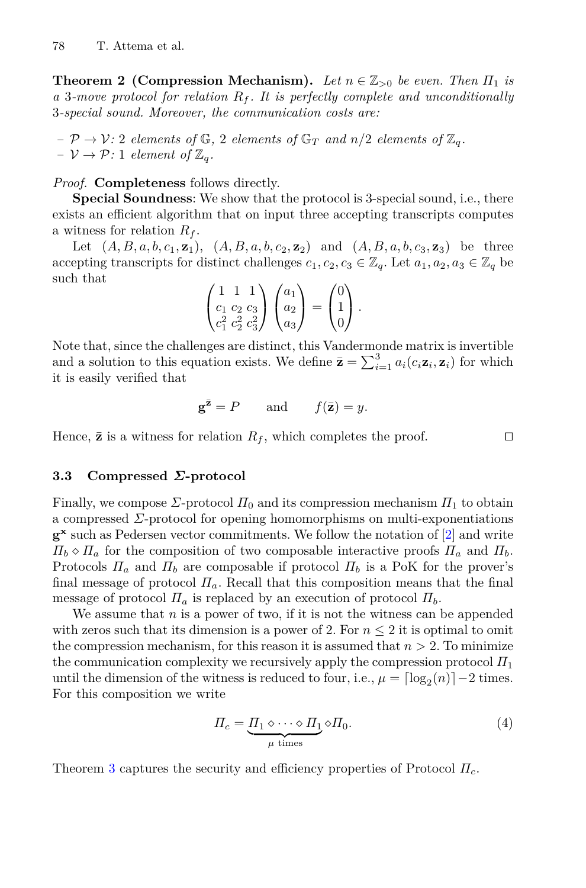**Theorem 2 (Compression Mechanism).** *Let*  $n \in \mathbb{Z}_{>0}$  *be even. Then*  $\Pi_1$  *is <sup>a</sup>* <sup>3</sup>*-move protocol for relation <sup>R</sup><sup>f</sup> . It is perfectly complete and unconditionally* 3*-special sound. Moreover, the communication costs are:*

 $P \rightarrow V: 2$  *elements of*  $\mathbb{G}$ *,* 2 *elements of*  $\mathbb{G}_T$  *and*  $n/2$  *elements of*  $\mathbb{Z}_q$ *.*  $-V \rightarrow \mathcal{P}: 1$  *element of*  $\mathbb{Z}_q$ *.* 

*Proof.* **Completeness** follows directly.

**Special Soundness**: We show that the protocol is 3-special sound, i.e., there exists an efficient algorithm that on input three accepting transcripts computes a witness for relation *<sup>R</sup><sup>f</sup>* .

Let  $(A, B, a, b, c_1, \mathbf{z}_1)$ ,  $(A, B, a, b, c_2, \mathbf{z}_2)$  and  $(A, B, a, b, c_3, \mathbf{z}_3)$  be three accepting transcripts for distinct challenges  $c_1, c_2, c_3 \in \mathbb{Z}_q$ . Let  $a_1, a_2, a_3 \in \mathbb{Z}_q$  be such that

$$
\begin{pmatrix} 1 & 1 & 1 \ c_1 & c_2 & c_3 \ c_1^2 & c_2^2 & c_3^2 \end{pmatrix} \begin{pmatrix} a_1 \ a_2 \ a_3 \end{pmatrix} = \begin{pmatrix} 0 \ 1 \ 0 \end{pmatrix}.
$$

Note that, since the challenges are distinct, this Vandermonde matrix is invertible and a solution to this equation exists. We define  $\bar{\mathbf{z}} = \sum_{i=1}^{3} a_i (c_i \mathbf{z}_i, \mathbf{z}_i)$  for which it is easily verified that it is easily verified that

$$
\mathbf{g}^{\bar{\mathbf{z}}} = P \qquad \text{and} \qquad f(\bar{\mathbf{z}}) = y.
$$

Hence,  $\bar{z}$  is a witness for relation  $R_f$ , which completes the proof.  $\square$ 

#### <span id="page-13-0"></span>**3.3 Compressed** *Σ***-protocol**

Finally, we compose  $\Sigma$ -protocol  $\Pi_0$  and its compression mechanism  $\Pi_1$  to obtain a compressed *Σ*-protocol for opening homomorphisms on multi-exponentiations **g<sup>x</sup>** such as Pedersen vector commitments. We follow the notation of [\[2](#page-23-2)] and write  $\Pi_b \diamond \Pi_a$  for the composition of two composable interactive proofs  $\Pi_a$  and  $\Pi_b$ . Protocols  $\Pi_a$  and  $\Pi_b$  are composable if protocol  $\Pi_b$  is a PoK for the prover's final message of protocol  $\Pi_a$ . Recall that this composition means that the final message of protocol  $\Pi_a$  is replaced by an execution of protocol  $\Pi_b$ .

We assume that  $n$  is a power of two, if it is not the witness can be appended with zeros such that its dimension is a power of 2. For  $n \leq 2$  it is optimal to omit the compression mechanism, for this reason it is assumed that  $n > 2$ . To minimize the communication complexity we recursively apply the compression protocol  $\Pi_1$ until the dimension of the witness is reduced to four, i.e.,  $\mu = \lceil \log_2(n) \rceil - 2$  times. For this composition we write

$$
\Pi_c = \underbrace{\Pi_1 \diamond \cdots \diamond \Pi_1}_{\mu \text{ times}} \diamond \Pi_0. \tag{4}
$$

<span id="page-13-1"></span>Theorem [3](#page-13-1) captures the security and efficiency properties of Protocol *Π<sup>c</sup>*.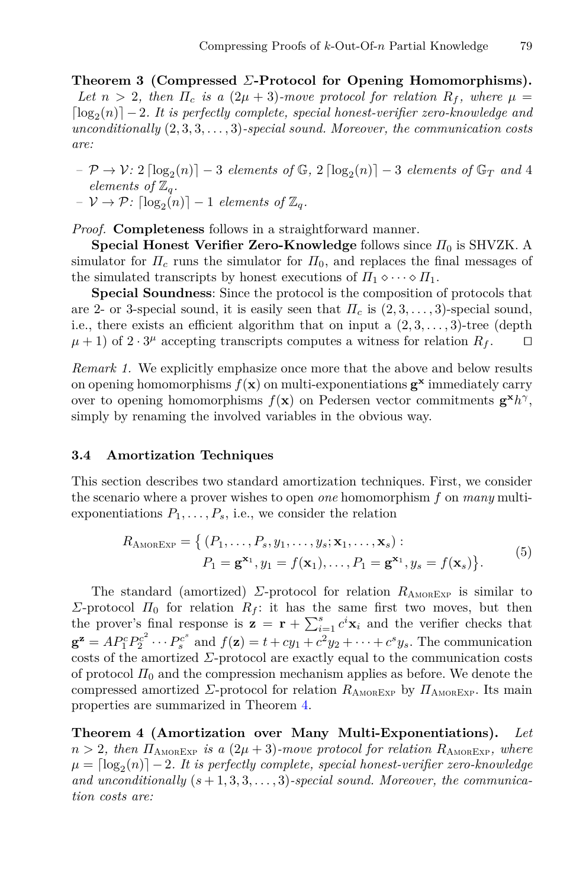**Theorem 3 (Compressed** *Σ***-Protocol for Opening Homomorphisms).** *Let*  $n > 2$ , then  $\Pi_c$  *is a*  $(2\mu + 3)$ *-move protocol for relation*  $R_f$ *, where*  $\mu =$  $\lceil \log_2(n) \rceil - 2$ *. It is perfectly complete, special honest-verifier zero-knowledge and unconditionally* (2*,* <sup>3</sup>*,* <sup>3</sup>*,...,* 3)*-special sound. Moreover, the communication costs are:*

- $P \rightarrow V: 2 \lceil \log_2(n) \rceil 3$  *elements of*  $\mathbb{G}, 2 \lceil \log_2(n) \rceil 3$  *elements of*  $\mathbb{G}_T$  *and* 4 *elements of*  $\mathbb{Z}_q$ *.*
- $-V \rightarrow \mathcal{P}$ :  $\lceil \log_2(n) \rceil 1$  *elements of*  $\mathbb{Z}_q$ *.*

*Proof.* **Completeness** follows in a straightforward manner.

**Special Honest Verifier Zero-Knowledge** follows since  $\Pi_0$  is SHVZK. A simulator for  $\Pi_c$  runs the simulator for  $\Pi_0$ , and replaces the final messages of the simulated transcripts by honest executions of  $\Pi_1 \diamond \cdots \diamond \Pi_1$ .

**Special Soundness**: Since the protocol is the composition of protocols that are 2- or 3-special sound, it is easily seen that  $\Pi_c$  is  $(2,3,\ldots,3)$ -special sound, i.e., there exists an efficient algorithm that on input a  $(2,3,\ldots,3)$ -tree (depth  $\mu+1$ ) of  $2 \cdot 3^{\mu}$  accepting transcripts computes a witness for relation  $R_f$ .  $\mu$  + 1) of 2 · 3<sup>μ</sup> accepting transcripts computes a witness for relation  $R_f$ .

*Remark 1.* We explicitly emphasize once more that the above and below results on opening homomorphisms  $f(\mathbf{x})$  on multi-exponentiations  $\mathbf{g}^{\mathbf{x}}$  immediately carry over to opening homomorphisms  $f(\mathbf{x})$  on Pedersen vector commitments  $\mathbf{g}^{\mathbf{x}}h^{\gamma}$ , simply by renaming the involved variables in the obvious way.

#### **3.4 Amortization Techniques**

This section describes two standard amortization techniques. First, we consider the scenario where a prover wishes to open *one* homomorphism *f* on *many* multiexponentiations  $P_1, \ldots, P_s$ , i.e., we consider the relation

$$
R_{\text{AMOREXP}} = \left\{ (P_1, \dots, P_s, y_1, \dots, y_s; \mathbf{x}_1, \dots, \mathbf{x}_s) : \right.P_1 = \mathbf{g}^{\mathbf{x}_1}, y_1 = f(\mathbf{x}_1), \dots, P_1 = \mathbf{g}^{\mathbf{x}_1}, y_s = f(\mathbf{x}_s) \right\}.
$$
 (5)

The standard (amortized) *Σ*-protocol for relation  $R_{\text{AMOREXP}}$  is similar to *Σ*-protocol  $\Pi_0$  for relation  $R_f$ : it has the same first two moves, but then the prover's final response is  $\mathbf{z} = \mathbf{r} + \sum_{i=1}^{s} c^i \mathbf{x}_i$  and the verifier checks that  $g^z = AP_f^c P_2^{c^2} \cdots P_s^{c^s}$  and  $f(\mathbf{z}) = t + cy_1 + c^2 y_2 + \cdots + c^s y_s$ . The communication costs of the amortized  $\Sigma$ -protocol are exactly equal to the communication costs costs of the amortized *Σ*-protocol are exactly equal to the communication costs of protocol  $\Pi_0$  and the compression mechanism applies as before. We denote the compressed amortized *Σ*-protocol for relation  $R_{\text{AMoREXP}}$  by  $\Pi_{\text{AMoREXP}}$ . Its main properties are summarized in Theorem [4.](#page-14-0)

<span id="page-14-0"></span>**Theorem 4 (Amortization over Many Multi-Exponentiations).** *Let*  $n > 2$ *, then*  $\Pi_{\text{AMOREXP}}$  *is a*  $(2\mu + 3)$ *-move protocol for relation*  $R_{\text{AMOREXP}}$ *, where*  $\mu = \lceil \log_2(n) \rceil - 2$ *. It is perfectly complete, special honest-verifier zero-knowledge* and unconditionally  $(s+1,3,3,\ldots,3)$ -special sound. Moreover, the communica*tion costs are:*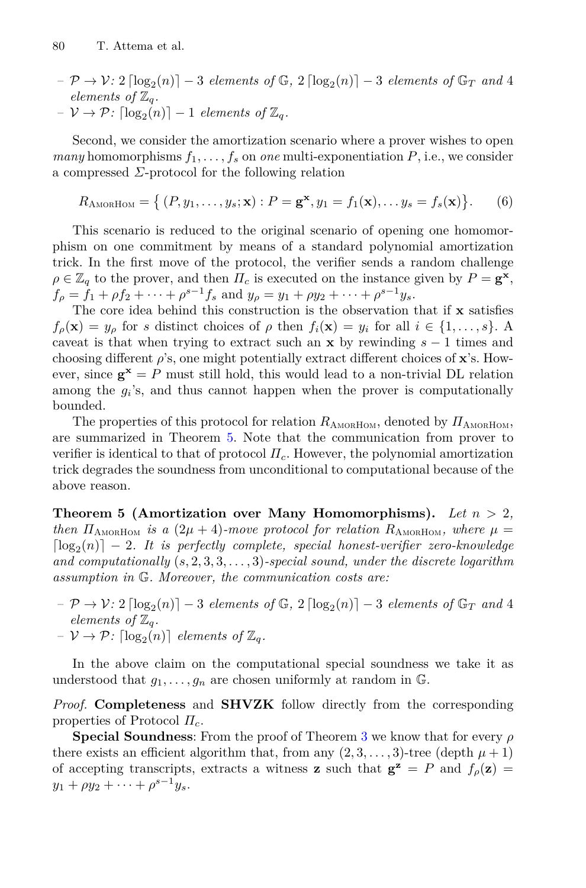- $-P \rightarrow V: 2 \lceil \log_2(n) \rceil 3$  *elements of*  $\mathbb{G}$ ,  $2 \lceil \log_2(n) \rceil 3$  *elements of*  $\mathbb{G}_T$  *and* 4 *elements of*  $\mathbb{Z}_q$ *.*
- $-V \rightarrow \mathcal{P}$ :  $\lceil \log_2(n) \rceil 1$  *elements of*  $\mathbb{Z}_q$ *.*

Second, we consider the amortization scenario where a prover wishes to open *many* homomorphisms  $f_1, \ldots, f_s$  on *one* multi-exponentiation  $P$ , i.e., we consider a compressed *Σ*-protocol for the following relation

$$
R_{\text{AMORHOM}} = \left\{ (P, y_1, \dots, y_s; \mathbf{x}) : P = \mathbf{g}^{\mathbf{x}}, y_1 = f_1(\mathbf{x}), \dots y_s = f_s(\mathbf{x}) \right\}. \tag{6}
$$

This scenario is reduced to the original scenario of opening one homomorphism on one commitment by means of a standard polynomial amortization trick. In the first move of the protocol, the verifier sends a random challenge  $\rho \in \mathbb{Z}_q$  to the prover, and then  $\Pi_c$  is executed on the instance given by  $P = \mathbf{g}^{\mathbf{x}}$ ,  $f_{\rho} = \hat{f}_1 + \rho f_2 + \dots + \rho^{s-1} f_s$  and  $y_{\rho} = y_1 + \rho y_2 + \dots + \rho^{s-1} y_s$ .

The core idea behind this construction is the observation that if **x** satisfies  $f_{\rho}(\mathbf{x}) = y_{\rho}$  for *s* distinct choices of  $\rho$  then  $f_i(\mathbf{x}) = y_i$  for all  $i \in \{1, ..., s\}$ . A caveat is that when trying to extract such an **<sup>x</sup>** by rewinding *s* <sup>−</sup> 1 times and choosing different *ρ*'s, one might potentially extract different choices of **<sup>x</sup>**'s. However, since  $\mathbf{g}^{\mathbf{x}} = P$  must still hold, this would lead to a non-trivial DL relation among the  $g_i$ 's, and thus cannot happen when the prover is computationally bounded.

The properties of this protocol for relation  $R_{\text{AMORHOM}}$ , denoted by  $\Pi_{\text{AMORHOM}}$ , are summarized in Theorem [5.](#page-15-0) Note that the communication from prover to verifier is identical to that of protocol  $\Pi_c$ . However, the polynomial amortization trick degrades the soundness from unconditional to computational because of the above reason.

<span id="page-15-0"></span>**Theorem 5 (Amortization over Many Homomorphisms).** *Let n >* <sup>2</sup>*, then*  $\Pi_{\text{AMORHOM}}$  *is a*  $(2\mu + 4)$ *-move protocol for relation*  $R_{\text{AMORHOM}}$ *, where*  $\mu =$  $\lceil \log_2(n) \rceil - 2$ . It is perfectly complete, special honest-verifier zero-knowledge *and computationally* (*s,* <sup>2</sup>*,* <sup>3</sup>*,* <sup>3</sup>*,...,* 3)*-special sound, under the discrete logarithm assumption in* G*. Moreover, the communication costs are:*

- $P \rightarrow V: 2 \lceil \log_2(n) \rceil 3$  *elements of*  $\mathbb{G}, 2 \lceil \log_2(n) \rceil 3$  *elements of*  $\mathbb{G}_T$  *and* 4 *elements of*  $\mathbb{Z}_q$ *.*
- $-V \rightarrow \mathcal{P}$ :  $\lceil \log_2(n) \rceil$  *elements of*  $\mathbb{Z}_q$ *.*

In the above claim on the computational special soundness we take it as understood that  $g_1, \ldots, g_n$  are chosen uniformly at random in  $\mathbb{G}$ .

*Proof.* **Completeness** and **SHVZK** follow directly from the corresponding properties of Protocol *<sup>Π</sup><sup>c</sup>*.

**Special Soundness**: From the proof of Theorem [3](#page-13-1) we know that for every *ρ* there exists an efficient algorithm that, from any  $(2, 3, \ldots, 3)$ -tree (depth  $\mu + 1$ ) of accepting transcripts, extracts a witness **z** such that  $\mathbf{g}^{\mathbf{z}} = P$  and  $f_{\rho}(\mathbf{z}) =$  $y_1 + \rho y_2 + \cdots + \rho^{s-1} y_s$ .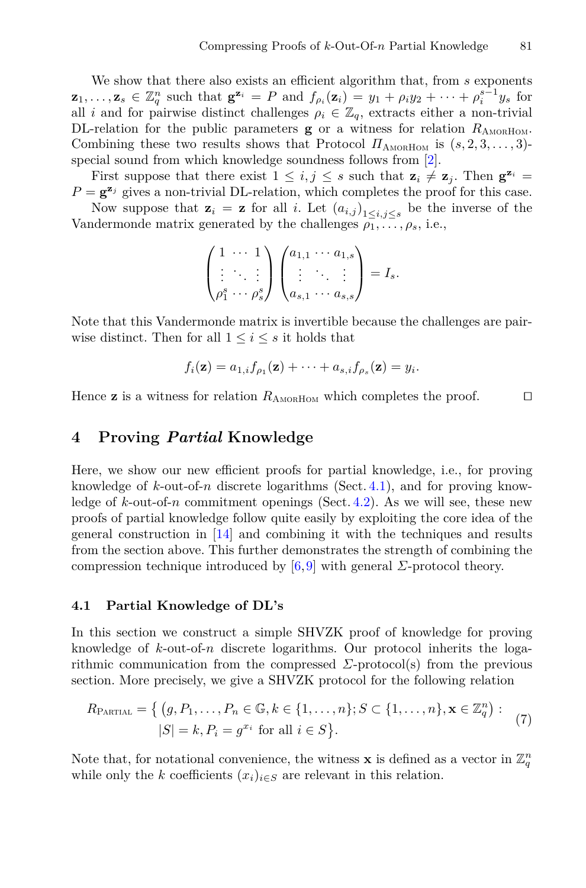We show that there also exists an efficient algorithm that, from *s* exponents  $\mathbf{z}_1, \ldots, \mathbf{z}_s \in \mathbb{Z}_q^n$  such that  $\mathbf{g}^{\mathbf{z}_i} = P$  and  $f_{\rho_i}(\mathbf{z}_i) = y_1 + \rho_i y_2 + \cdots + \rho_i^{s-1} y_s$  for all i and for pairwise distinct challenges  $\rho_i \in \mathbb{Z}_p$  extracts either a non-trivial all *i* and for pairwise distinct challenges  $\rho_i \in \mathbb{Z}_q$ , extracts either a non-trivial DL-relation for the public parameters  $g$  or a witness for relation  $R_{\text{AMORHOM}}$ . Combining these two results shows that Protocol  $\Pi_{\text{AMORHOM}}$  is  $(s, 2, 3, \ldots, 3)$ special sound from which knowledge soundness follows from [\[2\]](#page-23-2).

First suppose that there exist  $1 \leq i, j \leq s$  such that  $\mathbf{z}_i \neq \mathbf{z}_j$ . Then  $\mathbf{g}^{\mathbf{z}_i} =$  $P = \mathbf{g}^{\mathbf{z}_j}$  gives a non-trivial DL-relation, which completes the proof for this case.

Now suppose that  $\mathbf{z}_i = \mathbf{z}$  for all *i*. Let  $(a_{i,j})_{1 \leq i,j \leq s}$  be the inverse of the Vandermonde matrix generated by the challenges  $\rho_1, \ldots, \rho_s$ , i.e.,

$$
\begin{pmatrix} 1 & \cdots & 1 \\ \vdots & \ddots & \vdots \\ \rho_1^s & \cdots & \rho_s^s \end{pmatrix} \begin{pmatrix} a_{1,1} & \cdots & a_{1,s} \\ \vdots & \ddots & \vdots \\ a_{s,1} & \cdots & a_{s,s} \end{pmatrix} = I_s.
$$

Note that this Vandermonde matrix is invertible because the challenges are pairwise distinct. Then for all  $1 \leq i \leq s$  it holds that

$$
f_i(\mathbf{z}) = a_{1,i} f_{\rho_1}(\mathbf{z}) + \cdots + a_{s,i} f_{\rho_s}(\mathbf{z}) = y_i.
$$

Hence **z** is a witness for relation  $R_{\text{AMORHOM}}$  which completes the proof.  $\square$ 

## <span id="page-16-0"></span>**4 Proving** *Partial* **Knowledge**

Here, we show our new efficient proofs for partial knowledge, i.e., for proving knowledge of *k*-out-of-*n* discrete logarithms (Sect. [4.1\)](#page-16-1), and for proving knowledge of  $k$ -out-of- $n$  commitment openings (Sect. [4.2\)](#page-18-0). As we will see, these new proofs of partial knowledge follow quite easily by exploiting the core idea of the general construction in [\[14](#page-24-0)] and combining it with the techniques and results from the section above. This further demonstrates the strength of combining the compression technique introduced by  $[6,9]$  $[6,9]$  with general *Σ*-protocol theory.

#### <span id="page-16-1"></span>**4.1 Partial Knowledge of DL's**

In this section we construct a simple SHVZK proof of knowledge for proving knowledge of *k*-out-of-*n* discrete logarithms. Our protocol inherits the logarithmic communication from the compressed *Σ*-protocol(s) from the previous section. More precisely, we give a SHVZK protocol for the following relation

$$
R_{\text{PARTIAL}} = \left\{ (g, P_1, \dots, P_n \in \mathbb{G}, k \in \{1, \dots, n\}; S \subset \{1, \dots, n\}, \mathbf{x} \in \mathbb{Z}_q^n) : |S| = k, P_i = g^{x_i} \text{ for all } i \in S \right\}.
$$
\n(7)

Note that, for notational convenience, the witness **x** is defined as a vector in  $\mathbb{Z}_q^n$ while only the *k* coefficients  $(x_i)_{i \in S}$  are relevant in this relation.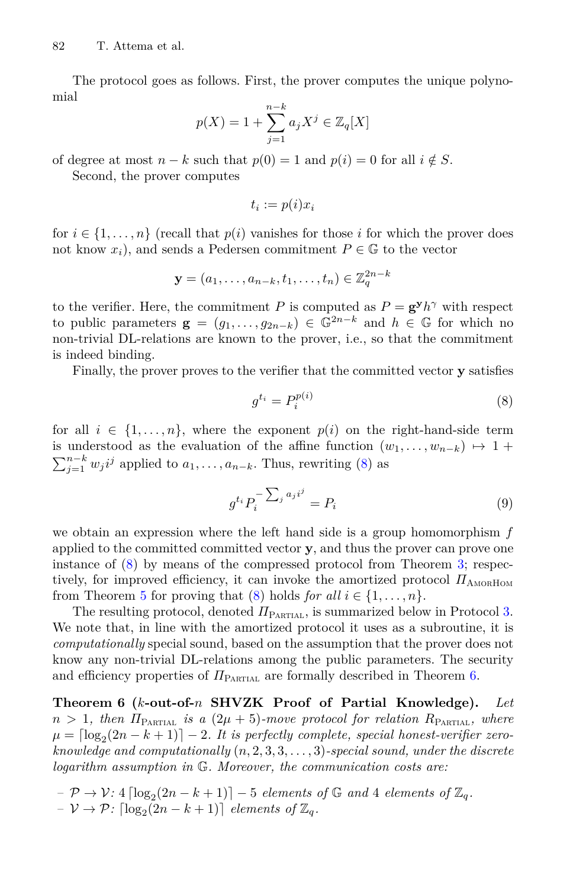The protocol goes as follows. First, the prover computes the unique polynomial

$$
p(X) = 1 + \sum_{j=1}^{n-k} a_j X^j \in \mathbb{Z}_q[X]
$$

of degree at most  $n - k$  such that  $p(0) = 1$  and  $p(i) = 0$  for all  $i \notin S$ .

Second, the prover computes

$$
t_i := p(i)x_i
$$

for  $i \in \{1, \ldots, n\}$  (recall that  $p(i)$  vanishes for those *i* for which the prover does not know  $x_i$ ), and sends a Pedersen commitment  $P \in \mathbb{G}$  to the vector  $\left(\frac{z_1}{z_1}\right) \in \mathbb{Z}^{2n-k}$ 

$$
\mathbf{y} = (a_1, \dots, a_{n-k}, t_1, \dots, t_n) \in \mathbb{Z}_q^{2n-k}
$$

to the verifier. Here, the commitment *P* is computed as  $P = \mathbf{g}^{\mathbf{y}}h^{\gamma}$  with respect to public parameters  $\mathbf{g} = (q_1, \ldots, q_{2n-k}) \in \mathbb{G}^{2n-k}$  and  $h \in \mathbb{G}$  for which no non-trivial DL-relations are known to the prover, i.e., so that the commitment is indeed binding.

Finally, the prover proves to the verifier that the committed vector **y** satisfies

<span id="page-17-0"></span>
$$
g^{t_i} = P_i^{p(i)} \tag{8}
$$

for all  $i \in \{1, \ldots, n\}$ , where the exponent  $p(i)$  on the right-hand-side term is understood as the evaluation of the affine function  $(w_1, \ldots, w_{n-k}) \mapsto 1 +$  $\sum_{j=1}^{n-k} w_j i^j$  applied to  $a_1, \ldots, a_{n-k}$ . Thus, rewriting [\(8\)](#page-17-0) as

<span id="page-17-2"></span>
$$
g^{t_i} P_i^{-\sum_j a_j i^j} = P_i \tag{9}
$$

we obtain an expression where the left hand side is a group homomorphism *f* applied to the committed committed vector **y**, and thus the prover can prove one instance of [\(8\)](#page-17-0) by means of the compressed protocol from Theorem [3;](#page-13-1) respectively, for improved efficiency, it can invoke the amortized protocol  $\Pi_{\text{AMORHOM}}$ from Theorem [5](#page-15-0) for proving that [\(8\)](#page-17-0) holds *for all*  $i \in \{1, \ldots, n\}$ .

The resulting protocol, denoted  $\Pi_{\text{PARTIAL}}$ , is summarized below in Protocol [3.](#page-18-1) We note that, in line with the amortized protocol it uses as a subroutine, it is *computationally* special sound, based on the assumption that the prover does not know any non-trivial DL-relations among the public parameters. The security and efficiency properties of  $\Pi_{\text{PARTIAL}}$  are formally described in Theorem [6.](#page-17-1)

<span id="page-17-1"></span>**Theorem 6 (***k***-out-of-***n* **SHVZK Proof of Partial Knowledge).** *Let*  $n > 1$ , then  $\Pi_{\text{PATH}}$  *is a*  $(2\mu + 5)$ *-move protocol for relation*  $R_{\text{PATH}}$ , where  $\mu = \left[\log_2(2n - k + 1)\right] - 2$ . It is perfectly complete, special honest-verifier zero*knowledge and computationally* (*n,* <sup>2</sup>*,* <sup>3</sup>*,* <sup>3</sup>*,...,* 3)*-special sound, under the discrete logarithm assumption in* G*. Moreover, the communication costs are:*

 $-P \rightarrow V: 4 \lceil \log_2(2n - k + 1) \rceil - 5$  *elements of* G *and* 4 *elements of*  $\mathbb{Z}_q$ *.*  $-V \rightarrow \mathcal{P}$ :  $\lceil \log_2(2n - k + 1) \rceil$  *elements of*  $\mathbb{Z}_q$ *.*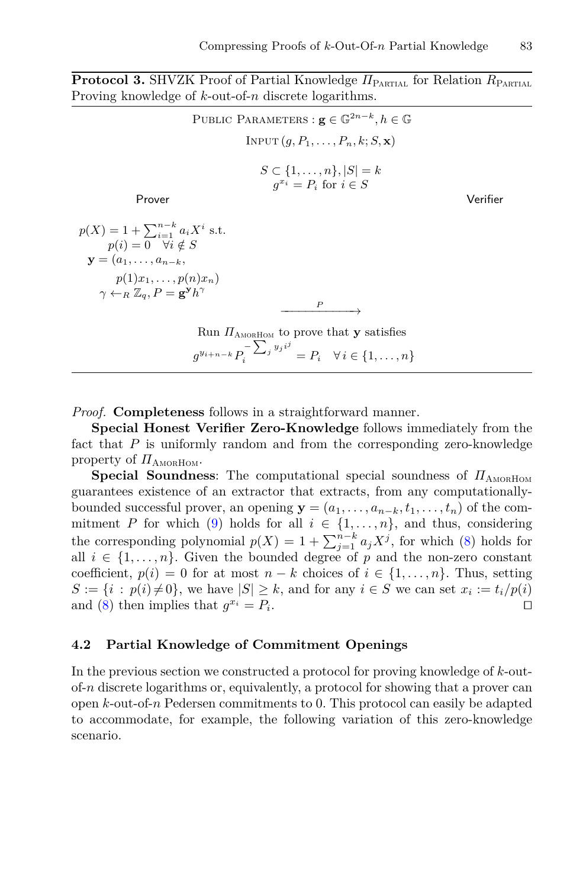**Protocol 3.** SHVZK Proof of Partial Knowledge *<sup>Π</sup>*Partial for Relation *<sup>R</sup>*Partial Proving knowledge of *k*-out-of-*n* discrete logarithms.

<span id="page-18-1"></span> $\text{PUBLIC}$  PARAMETERS :  $\mathbf{g} \in \mathbb{G}^{2n-k}, h \in \mathbb{G}$  $INPUT(q, P_1, \ldots, P_n, k; S, \mathbf{x})$  $S \subset \{1, ..., n\}, |S| = k$ <br> $a^{x_i} = P$  for  $i \in S$  $g^{x_i} = P_i$  for  $i \in S$ Prover Verifier  $p(X) = 1 + \sum_{i=1}^{n-k} a_i X^i$  s.t.<br> *n*(*i*) = 0  $\forall i \notin S$  $p(i) = 0 \quad \forall i \notin S$  $y = (a_1, \ldots, a_{n-k}, a_n)$  $p(1)x_1, \ldots, p(n)x_n$  $\gamma \leftarrow_R \mathbb{Z}_q$ ,  $P = \mathbf{g}^{\mathbf{y}} h^{\gamma}$ *P* −−−−→ Run *<sup>Π</sup>*AmorHom to prove that **<sup>y</sup>** satisfies

 $g^{y_{i+n-k}} P_i^{-\sum_j y_j i^j} = P_i \quad \forall i \in \{1, ..., n\}$ 

*Proof.* **Completeness** follows in a straightforward manner.

**Special Honest Verifier Zero-Knowledge** follows immediately from the fact that P is uniformly random and from the corresponding zero-knowledge property of  $\Pi$ <sub>AMORHOM</sub>.

**Special Soundness:** The computational special soundness of  $\Pi$ <sub>AMORHOM</sub> guarantees existence of an extractor that extracts, from any computationallybounded successful prover, an opening  $\mathbf{y} = (a_1, \ldots, a_{n-k}, t_1, \ldots, t_n)$  of the com-<br>mitment P for which (9) holds for all  $i \in \{1, \ldots, n\}$ , and thus, considering mitment *P* for which [\(9\)](#page-17-2) holds for all  $i \in \{1, ..., n\}$ , and thus, considering<br>the corresponding polynomial  $x(Y) = 1 + \sum_{k=1}^{n-k} x^{i}$  for which (8) holds for the corresponding polynomial  $p(X) = 1 + \sum_{j=1}^{n-k} a_j X^j$ , for which [\(8\)](#page-17-0) holds for all  $i \in I_1$  and the non-zero constant all  $i \in \{1, \ldots, n\}$ . Given the bounded degree of p and the non-zero constant coefficient,  $p(i) = 0$  for at most  $n - k$  choices of  $i \in \{1, ..., n\}$ . Thus, setting  $S := \{i : p(i) \neq 0\}$ , we have  $|S| \geq k$ , and for any  $i \in S$  we can set  $x_i := t_i/p(i)$  and  $(S)$  then implies that  $a^{x_i} = P$ . and [\(8\)](#page-17-0) then implies that  $g^{x_i} = P_i$ .

#### <span id="page-18-0"></span>**4.2 Partial Knowledge of Commitment Openings**

In the previous section we constructed a protocol for proving knowledge of *k*-outof-*n* discrete logarithms or, equivalently, a protocol for showing that a prover can open *k*-out-of-*n* Pedersen commitments to 0. This protocol can easily be adapted to accommodate, for example, the following variation of this zero-knowledge scenario.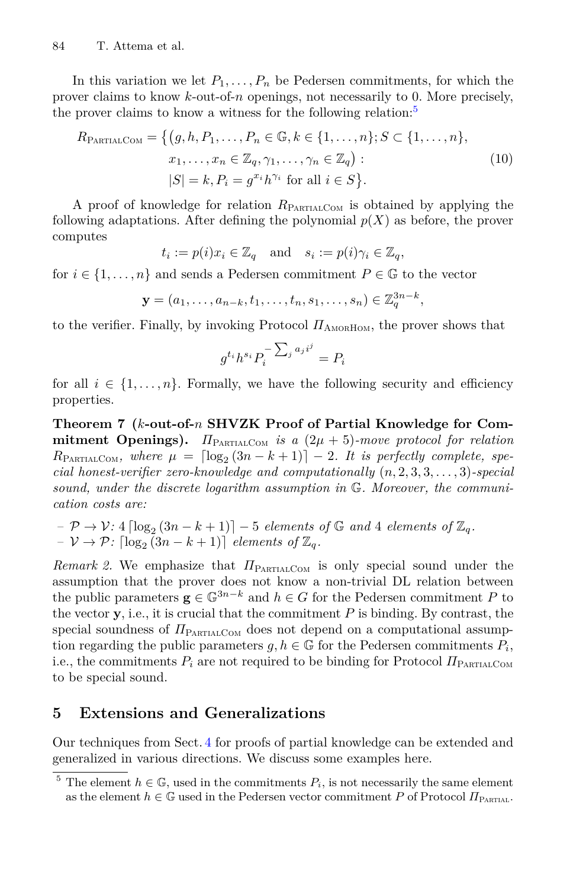In this variation we let  $P_1, \ldots, P_n$  be Pedersen commitments, for which the prover claims to know *k*-out-of-*n* openings, not necessarily to 0. More precisely, the prover claims to know a witness for the following relation:<sup>[5](#page-19-1)</sup>

$$
R_{\text{PARTIALCOM}} = \left\{ (g, h, P_1, \dots, P_n \in \mathbb{G}, k \in \{1, \dots, n\}; S \subset \{1, \dots, n\}, \quad x_1, \dots, x_n \in \mathbb{Z}_q, \gamma_1, \dots, \gamma_n \in \mathbb{Z}_q) : \quad (10)
$$
\n
$$
|S| = k, P_i = g^{x_i} h^{\gamma_i} \text{ for all } i \in S \right\}.
$$

A proof of knowledge for relation *<sup>R</sup>*PartialCom is obtained by applying the following adaptations. After defining the polynomial  $p(X)$  as before, the prover computes

$$
t_i := p(i)x_i \in \mathbb{Z}_q
$$
 and  $s_i := p(i)\gamma_i \in \mathbb{Z}_q$ ,

for  $i \in \{1, ..., n\}$  and sends a Pedersen commitment  $P \in \mathbb{G}$  to the vector

$$
\mathbf{y} = (a_1, \dots, a_{n-k}, t_1, \dots, t_n, s_1, \dots, s_n) \in \mathbb{Z}_q^{3n-k},
$$

to the verifier. Finally, by invoking Protocol  $\Pi_{\text{AMORHOM}}$ , the prover shows that

$$
g^{t_i}h^{s_i}P_i^{-\sum_j a_j i^j} = P_i
$$

for all  $i \in \{1, \ldots, n\}$ . Formally, we have the following security and efficiency properties.

**Theorem 7 (***k***-out-of-***n* **SHVZK Proof of Partial Knowledge for Commitment Openings).**  $\Pi_{\text{PATHCOM}}$  *is a*  $(2\mu + 5)$ *-move protocol for relation*  $R_{\text{PARTIALCOM}}$ *, where*  $\mu = \left[\log_2(3n - k + 1)\right] - 2$ *. It is perfectly complete, special honest-verifier zero-knowledge and computationally* (*n,* <sup>2</sup>*,* <sup>3</sup>*,* <sup>3</sup>*,...,* 3)*-special sound, under the discrete logarithm assumption in* G*. Moreover, the communication costs are:*

- $P \rightarrow \mathcal{V}: 4 \lceil \log_2 (3n k + 1) \rceil 5$  *elements of* G *and* 4 *elements of*  $\mathbb{Z}_q$ *.*
- *−*  $V \rightarrow \mathcal{P}$ *:*  $\lceil \log_2(3n k + 1) \rceil$  *elements of*  $\mathbb{Z}_q$ *.*

*Remark 2.* We emphasize that  $\Pi_{\text{PARTIALCOM}}$  is only special sound under the assumption that the prover does not know a non-trivial DL relation between the public parameters  $\mathbf{g} \in \mathbb{G}^{3n-k}$  and  $h \in G$  for the Pedersen commitment P to the vector  $\bf{y}$ , i.e., it is crucial that the commitment  $P$  is binding. By contrast, the special soundness of  $\Pi_{\text{PARTALCOM}}$  does not depend on a computational assumption regarding the public parameters  $g, h \in \mathbb{G}$  for the Pedersen commitments  $P_i$ , i.e., the commitments  $P_i$  are not required to be binding for Protocol  $\Pi_{\text{PARTIALCOM}}$ to be special sound.

## <span id="page-19-0"></span>**5 Extensions and Generalizations**

Our techniques from Sect. [4](#page-16-0) for proofs of partial knowledge can be extended and generalized in various directions. We discuss some examples here.

<span id="page-19-1"></span><sup>&</sup>lt;sup>5</sup> The element  $h \in \mathbb{G}$ , used in the commitments  $P_i$ , is not necessarily the same element as the element  $h \in \mathbb{G}$  used in the Pedersen vector commitment P of Protocol  $\Pi_{\text{PartIAL}}$ .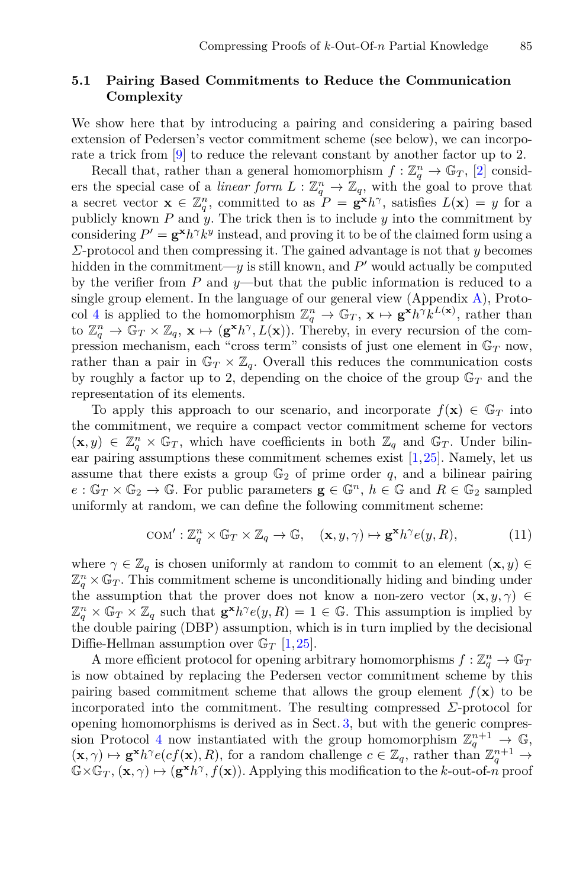## <span id="page-20-0"></span>**5.1 Pairing Based Commitments to Reduce the Communication Complexity**

We show here that by introducing a pairing and considering a pairing based extension of Pedersen's vector commitment scheme (see below), we can incorporate a trick from [\[9\]](#page-23-1) to reduce the relevant constant by another factor up to 2.

Recall that, rather than a general homomorphism  $f: \mathbb{Z}_q^n \to \mathbb{G}_T$ , [\[2\]](#page-23-2) consid-<br>the special case of a *linear form*  $L: \mathbb{Z}^n \to \mathbb{Z}_q$  with the goal to prove that ers the special case of a *linear form*  $L: \mathbb{Z}_q^n \to \mathbb{Z}_q$ , with the goal to prove that a secret vector  $\mathbf{x} \in \mathbb{Z}^n$  committed to as  $P = \mathbf{x}^k h^\gamma$  satisfies  $L(\mathbf{x}) = u$  for a a secret vector  $\mathbf{x} \in \mathbb{Z}_q^n$ , committed to as  $P = \mathbf{g}^{\mathbf{x}} h^\gamma$ , satisfies  $L(\mathbf{x}) = y$  for a publicly known  $P$  and  $y$ . The trick then is to include  $y$  into the commitment by publicly known  $P$  and  $\overline{y}$ . The trick then is to include  $y$  into the commitment by considering  $P' = \mathbf{g}^{\mathbf{x}} h^{\gamma} k^y$  instead, and proving it to be of the claimed form using a *Σ*-protocol and then compressing it. The gained advantage is not that *y* becomes hidden in the commitment—*y* is still known, and  $P'$  would actually be computed by the verifier from *P* and *y*—but that the public information is reduced to a single group element. In the language of our general view (Appendix [A\)](#page-25-3), Proto-col [4](#page-26-0) is applied to the homomorphism  $\mathbb{Z}_q^n \to \mathbb{G}_T$ ,  $\mathbf{x} \mapsto \mathbf{g}^{\mathbf{x}} h^{\gamma} k^{L(\mathbf{x})}$ , rather than to  $\mathbb{Z}_q^n \to \mathbb{G}_T \times \mathbb{Z}$ ,  $\mathbf{x} \mapsto (\mathbf{g}^{\mathbf{x}} h^{\gamma} L(\mathbf{x}))$ . Thereby in every recursion of the comto  $\mathbb{Z}_q^n \to \mathbb{G}_T \times \mathbb{Z}_q$ ,  $\mathbf{x} \mapsto (\mathbf{g}^{\mathbf{x}} h^\gamma, L(\mathbf{x}))$ . Thereby, in every recursion of the com-<br>pression mechanism, each "cross term" consists of just one element in  $\mathbb{G}_T$  now pression mechanism, each "cross term" consists of just one element in G*<sup>T</sup>* now, rather than a pair in  $\mathbb{G}_T \times \mathbb{Z}_q$ . Overall this reduces the communication costs by roughly a factor up to 2, depending on the choice of the group G*<sup>T</sup>* and the representation of its elements.

To apply this approach to our scenario, and incorporate  $f(\mathbf{x}) \in \mathbb{G}_T$  into the commitment, we require a compact vector commitment scheme for vectors  $(\mathbf{x}, y) \in \mathbb{Z}_q^n \times \mathbb{G}_T$ , which have coefficients in both  $\mathbb{Z}_q$  and  $\mathbb{G}_T$ . Under bilin-<br>ear pairing assumptions these commitment schemes exist [1,25]. Namely, let us ear pairing assumptions these commitment schemes exist  $[1,25]$  $[1,25]$  $[1,25]$ . Namely, let us assume that there exists a group  $\mathbb{G}_2$  of prime order q, and a bilinear pairing  $e: \mathbb{G}_T \times \mathbb{G}_2 \to \mathbb{G}$ . For public parameters  $\mathbf{g} \in \mathbb{G}^n$ ,  $h \in \mathbb{G}$  and  $R \in \mathbb{G}_2$  sampled uniformly at random, we can define the following commitment scheme:

$$
COM': \mathbb{Z}_q^n \times \mathbb{G}_T \times \mathbb{Z}_q \to \mathbb{G}, \quad (\mathbf{x}, y, \gamma) \mapsto \mathbf{g}^\mathbf{x} h^\gamma e(y, R), \tag{11}
$$

where  $\gamma \in \mathbb{Z}_q$  is chosen uniformly at random to commit to an element  $(\mathbf{x}, y) \in$  $\mathbb{Z}_q^n \times \mathbb{G}_T$ . This commitment scheme is unconditionally hiding and binding under the assumption that the prover does not know a non-zero vector  $(\mathbf{x}, y, \gamma) \in$  $\mathbb{Z}_q^n \times \mathbb{G}_T \times \mathbb{Z}_q$  such that  $\mathbf{g}^{\mathbf{x}} h^{\gamma}e(y, R) = 1 \in \mathbb{G}$ . This assumption is implied by the double pairing (DBP) assumption which is in turn implied by the decisional the double pairing (DBP) assumption, which is in turn implied by the decisional Diffie-Hellman assumption over G*<sup>T</sup>* [\[1](#page-23-9)[,25](#page-24-16)].

A more efficient protocol for opening arbitrary homomorphisms  $f : \mathbb{Z}_q^n \to \mathbb{G}_q$ <br>tow obtained by replacing the Pedersen vector commitment scheme by this is now obtained by replacing the Pedersen vector commitment scheme by this pairing based commitment scheme that allows the group element  $f(\mathbf{x})$  to be incorporated into the commitment. The resulting compressed  $\Sigma$ -protocol for opening homomorphisms is derived as in Sect. [3,](#page-9-0) but with the generic compres-sion Protocol [4](#page-26-0) now instantiated with the group homomorphism  $\mathbb{Z}_q^{n+1} \to \mathbb{G}$ ,  $(\mathbf{x}, \gamma) \mapsto \mathbf{g}^{\mathbf{x}} h^{\gamma} e(cf(\mathbf{x}), R)$ , for a random challenge  $c \in \mathbb{Z}_q$ , rather than  $\mathbb{Z}_q^{n+1} \to \mathbb{Z} \times \mathbb{G}_q$ ,  $(\mathbf{x}, \gamma) \mapsto (\mathbf{g}^{\mathbf{x}} h^{\gamma} f(\mathbf{x}))$ . Applying this modification to the k-out-of a proof  $\mathbb{G}\times\mathbb{G}_T$ ,  $(\mathbf{x},\gamma)\mapsto(\mathbf{g}^{\mathbf{x}}h^\gamma,f(\mathbf{x}))$ . Applying this modification to the *k*-out-of-*n* proof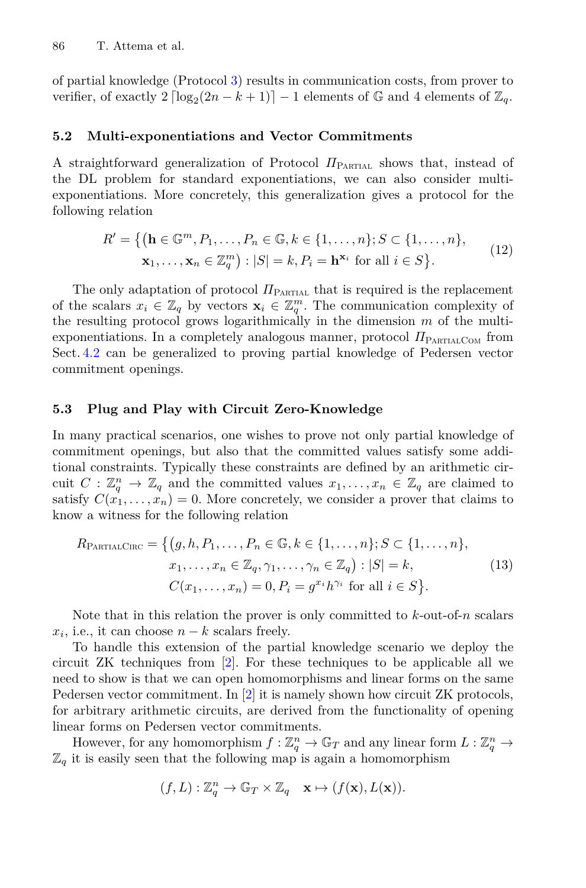of partial knowledge (Protocol [3\)](#page-18-1) results in communication costs, from prover to verifier, of exactly  $2 \left[ \log_2(2n - k + 1) \right] - 1$  elements of  $\mathbb{G}$  and 4 elements of  $\mathbb{Z}_q$ .

#### **5.2 Multi-exponentiations and Vector Commitments**

A straightforward generalization of Protocol  $\Pi_{\text{PARTIAL}}$  shows that, instead of the DL problem for standard exponentiations, we can also consider multiexponentiations. More concretely, this generalization gives a protocol for the following relation

$$
R' = \{ (\mathbf{h} \in \mathbb{G}^m, P_1, \dots, P_n \in \mathbb{G}, k \in \{1, \dots, n\}; S \subset \{1, \dots, n\},
$$
  

$$
\mathbf{x}_1, \dots, \mathbf{x}_n \in \mathbb{Z}_q^m\} : |S| = k, P_i = \mathbf{h}^{\mathbf{x}_i} \text{ for all } i \in S \}.
$$
 (12)

The only adaptation of protocol  $\Pi_{\text{PARTIAL}}$  that is required is the replacement of the scalars  $x_i \in \mathbb{Z}_q$  by vectors  $\mathbf{x}_i \in \mathbb{Z}_q^m$ . The communication complexity of the resulting protocol grows logarithmically in the dimension  $m$  of the multithe resulting protocol grows logarithmically in the dimension *m* of the multiexponentiations. In a completely analogous manner, protocol  $\pi_{\text{PARTALCOM}}$  from Sect. [4.2](#page-18-0) can be generalized to proving partial knowledge of Pedersen vector commitment openings.

#### **5.3 Plug and Play with Circuit Zero-Knowledge**

In many practical scenarios, one wishes to prove not only partial knowledge of commitment openings, but also that the committed values satisfy some additional constraints. Typically these constraints are defined by an arithmetic circuit  $C: \mathbb{Z}_q^n \to \mathbb{Z}_q$  and the committed values  $x_1, \ldots, x_n \in \mathbb{Z}_q$  are claimed to eatisfy  $C(x_1, \ldots, x_n) = 0$  More concretely we consider a prover that claims to satisfy  $C(x_1, \ldots, x_n) = 0$ . More concretely, we consider a prover that claims to know a witness for the following relation

$$
R_{\text{PARTIALCIRC}} = \{ (g, h, P_1, \dots, P_n \in \mathbb{G}, k \in \{1, \dots, n\}; S \subset \{1, \dots, n\}, x_1, \dots, x_n \in \mathbb{Z}_q, \gamma_1, \dots, \gamma_n \in \mathbb{Z}_q) : |S| = k, C(x_1, \dots, x_n) = 0, P_i = g^{x_i} h^{\gamma_i} \text{ for all } i \in S \}.
$$
 (13)

Note that in this relation the prover is only committed to *k*-out-of-*n* scalars  $x_i$ , i.e., it can choose  $n - k$  scalars freely.

To handle this extension of the partial knowledge scenario we deploy the circuit ZK techniques from [\[2\]](#page-23-2). For these techniques to be applicable all we need to show is that we can open homomorphisms and linear forms on the same Pedersen vector commitment. In [\[2](#page-23-2)] it is namely shown how circuit ZK protocols, for arbitrary arithmetic circuits, are derived from the functionality of opening linear forms on Pedersen vector commitments.

However, for any homomorphism  $f : \mathbb{Z}_q^n \to \mathbb{G}_T$  and any linear form  $L : \mathbb{Z}_q^n \to$ <br>it is easily seen that the following map is again a homomorphism  $\mathbb{Z}_q$  it is easily seen that the following map is again a homomorphism

$$
(f, L) : \mathbb{Z}_q^n \to \mathbb{G}_T \times \mathbb{Z}_q \quad \mathbf{x} \mapsto (f(\mathbf{x}), L(\mathbf{x})).
$$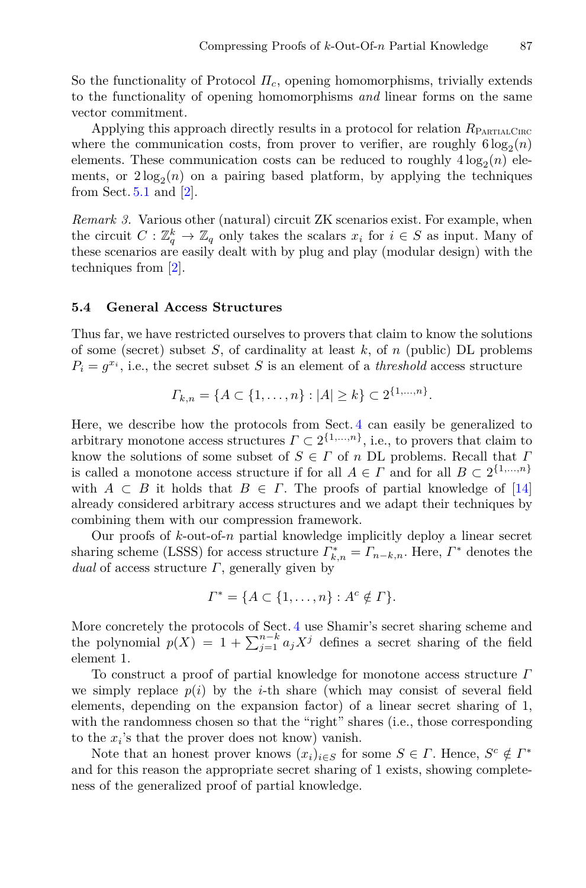So the functionality of Protocol *Πc*, opening homomorphisms, trivially extends to the functionality of opening homomorphisms *and* linear forms on the same vector commitment.

Applying this approach directly results in a protocol for relation  $R_{\text{PARTALCIRC}}$ where the communication costs, from prover to verifier, are roughly  $6 \log_2(n)$ elements. These communication costs can be reduced to roughly  $4 \log_2(n)$  elements, or  $2\log_2(n)$  on a pairing based platform, by applying the techniques from Sect.  $5.1$  and  $[2]$ .

*Remark 3.* Various other (natural) circuit ZK scenarios exist. For example, when the circuit  $C : \mathbb{Z}_q^k \to \mathbb{Z}_q$  only takes the scalars  $x_i$  for  $i \in S$  as input. Many of these scenarios are easily dealt with by plug and play (modular design) with the these scenarios are easily dealt with by plug and play (modular design) with the techniques from [\[2\]](#page-23-2).

#### **5.4 General Access Structures**

Thus far, we have restricted ourselves to provers that claim to know the solutions of some (secret) subset *S*, of cardinality at least *k*, of *n* (public) DL problems  $P_i = g^{x_i}$ , i.e., the secret subset *S* is an element of a *threshold* access structure

$$
\Gamma_{k,n} = \{ A \subset \{1,\ldots,n\} : |A| \ge k \} \subset 2^{\{1,\ldots,n\}}.
$$

Here, we describe how the protocols from Sect. [4](#page-16-0) can easily be generalized to arbitrary monotone access structures  $\Gamma \subset 2^{\{1,\ldots,n\}}$ , i.e., to provers that claim to know the solutions of some subset of *S* <sup>∈</sup> *Γ* of *n* DL problems. Recall that *Γ* is called a monotone access structure if for all  $A \in \Gamma$  and for all  $B \subset 2^{\{1,\ldots,n\}}$ with  $A \subset B$  it holds that  $B \in \Gamma$ . The proofs of partial knowledge of [\[14\]](#page-24-0) already considered arbitrary access structures and we adapt their techniques by combining them with our compression framework.

Our proofs of *k*-out-of-*n* partial knowledge implicitly deploy a linear secret sharing scheme (LSSS) for access structure  $\Gamma_{k,n}^* = \Gamma_{n-k,n}$ . Here,  $\Gamma^*$  denotes the dual of access structure  $\Gamma$  generally given by *dual* of access structure *Γ*, generally given by

$$
\Gamma^* = \{ A \subset \{1, \ldots, n\} : A^c \notin \Gamma \}.
$$

More concretely the protocols of Sect. [4](#page-16-0) use Shamir's secret sharing scheme and the polynomial  $p(X) = 1 + \sum_{j=1}^{n-k} a_j X^j$  defines a secret sharing of the field element 1 element 1.

To construct a proof of partial knowledge for monotone access structure *Γ* we simply replace  $p(i)$  by the *i*-th share (which may consist of several field elements, depending on the expansion factor) of a linear secret sharing of 1, with the randomness chosen so that the "right" shares (i.e., those corresponding to the  $x_i$ 's that the prover does not know) vanish.

Note that an honest prover knows  $(x_i)_{i \in S}$  for some  $S \in \Gamma$ . Hence,  $S^c \notin \Gamma^*$ and for this reason the appropriate secret sharing of 1 exists, showing completeness of the generalized proof of partial knowledge.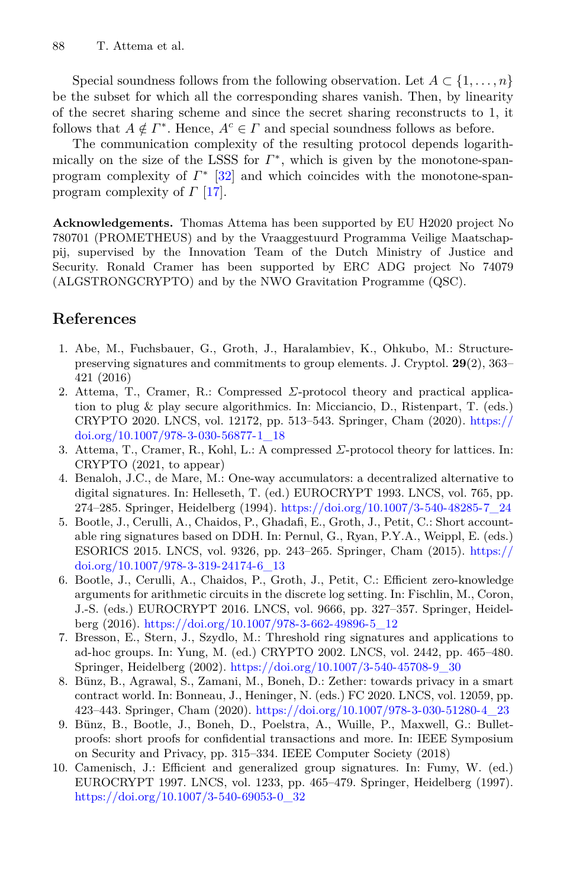Special soundness follows from the following observation. Let  $A \subset \{1, \ldots, n\}$ be the subset for which all the corresponding shares vanish. Then, by linearity of the secret sharing scheme and since the secret sharing reconstructs to 1, it follows that  $A \notin \Gamma^*$ . Hence,  $A^c \in \Gamma$  and special soundness follows as before.

The communication complexity of the resulting protocol depends logarithmically on the size of the LSSS for  $\Gamma^*$ , which is given by the monotone-spanprogram complexity of *Γ*<sup>∗</sup> [\[32\]](#page-25-4) and which coincides with the monotone-spanprogram complexity of *Γ* [\[17\]](#page-24-17).

**Acknowledgements.** Thomas Attema has been supported by EU H2020 project No 780701 (PROMETHEUS) and by the Vraaggestuurd Programma Veilige Maatschappij, supervised by the Innovation Team of the Dutch Ministry of Justice and Security. Ronald Cramer has been supported by ERC ADG project No 74079 (ALGSTRONGCRYPTO) and by the NWO Gravitation Programme (QSC).

## **References**

- <span id="page-23-9"></span>1. Abe, M., Fuchsbauer, G., Groth, J., Haralambiev, K., Ohkubo, M.: Structurepreserving signatures and commitments to group elements. J. Cryptol. **29**(2), 363– 421 (2016)
- <span id="page-23-2"></span>2. Attema, T., Cramer, R.: Compressed *Σ*-protocol theory and practical application to plug & play secure algorithmics. In: Micciancio, D., Ristenpart, T. (eds.) CRYPTO 2020. LNCS, vol. 12172, pp. 513–543. Springer, Cham (2020). [https://](https://doi.org/10.1007/978-3-030-56877-1_18) [doi.org/10.1007/978-3-030-56877-1\\_18](https://doi.org/10.1007/978-3-030-56877-1_18)
- <span id="page-23-8"></span>3. Attema, T., Cramer, R., Kohl, L.: A compressed *Σ*-protocol theory for lattices. In: CRYPTO (2021, to appear)
- <span id="page-23-7"></span>4. Benaloh, J.C., de Mare, M.: One-way accumulators: a decentralized alternative to digital signatures. In: Helleseth, T. (ed.) EUROCRYPT 1993. LNCS, vol. 765, pp. 274–285. Springer, Heidelberg (1994). [https://doi.org/10.1007/3-540-48285-7\\_24](https://doi.org/10.1007/3-540-48285-7_24)
- <span id="page-23-6"></span>5. Bootle, J., Cerulli, A., Chaidos, P., Ghadafi, E., Groth, J., Petit, C.: Short accountable ring signatures based on DDH. In: Pernul, G., Ryan, P.Y.A., Weippl, E. (eds.) ESORICS 2015. LNCS, vol. 9326, pp. 243–265. Springer, Cham (2015). [https://](https://doi.org/10.1007/978-3-319-24174-6_13) [doi.org/10.1007/978-3-319-24174-6\\_13](https://doi.org/10.1007/978-3-319-24174-6_13)
- <span id="page-23-0"></span>6. Bootle, J., Cerulli, A., Chaidos, P., Groth, J., Petit, C.: Efficient zero-knowledge arguments for arithmetic circuits in the discrete log setting. In: Fischlin, M., Coron, J.-S. (eds.) EUROCRYPT 2016. LNCS, vol. 9666, pp. 327–357. Springer, Heidelberg (2016). [https://doi.org/10.1007/978-3-662-49896-5\\_12](https://doi.org/10.1007/978-3-662-49896-5_12)
- <span id="page-23-5"></span>7. Bresson, E., Stern, J., Szydlo, M.: Threshold ring signatures and applications to ad-hoc groups. In: Yung, M. (ed.) CRYPTO 2002. LNCS, vol. 2442, pp. 465–480. Springer, Heidelberg (2002). [https://doi.org/10.1007/3-540-45708-9\\_30](https://doi.org/10.1007/3-540-45708-9_30)
- <span id="page-23-4"></span>8. Bünz, B., Agrawal, S., Zamani, M., Boneh, D.: Zether: towards privacy in a smart contract world. In: Bonneau, J., Heninger, N. (eds.) FC 2020. LNCS, vol. 12059, pp. 423–443. Springer, Cham (2020). [https://doi.org/10.1007/978-3-030-51280-4\\_23](https://doi.org/10.1007/978-3-030-51280-4_23)
- <span id="page-23-1"></span>9. Bünz, B., Bootle, J., Boneh, D., Poelstra, A., Wuille, P., Maxwell, G.: Bulletproofs: short proofs for confidential transactions and more. In: IEEE Symposium on Security and Privacy, pp. 315–334. IEEE Computer Society (2018)
- <span id="page-23-3"></span>10. Camenisch, J.: Efficient and generalized group signatures. In: Fumy, W. (ed.) EUROCRYPT 1997. LNCS, vol. 1233, pp. 465–479. Springer, Heidelberg (1997). [https://doi.org/10.1007/3-540-69053-0\\_32](https://doi.org/10.1007/3-540-69053-0_32)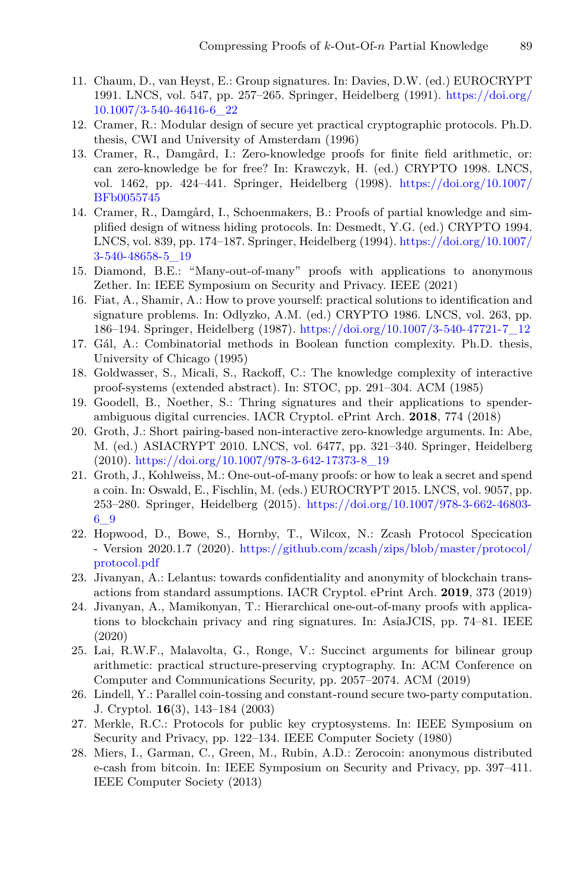- <span id="page-24-2"></span>11. Chaum, D., van Heyst, E.: Group signatures. In: Davies, D.W. (ed.) EUROCRYPT 1991. LNCS, vol. 547, pp. 257–265. Springer, Heidelberg (1991). [https://doi.org/](https://doi.org/10.1007/3-540-46416-6_22) [10.1007/3-540-46416-6\\_22](https://doi.org/10.1007/3-540-46416-6_22)
- <span id="page-24-14"></span>12. Cramer, R.: Modular design of secure yet practical cryptographic protocols. Ph.D. thesis, CWI and University of Amsterdam (1996)
- <span id="page-24-15"></span>13. Cramer, R., Damgård, I.: Zero-knowledge proofs for finite field arithmetic, or: can zero-knowledge be for free? In: Krawczyk, H. (ed.) CRYPTO 1998. LNCS, vol. 1462, pp. 424–441. Springer, Heidelberg (1998). [https://doi.org/10.1007/](https://doi.org/10.1007/BFb0055745) [BFb0055745](https://doi.org/10.1007/BFb0055745)
- <span id="page-24-0"></span>14. Cramer, R., Damgård, I., Schoenmakers, B.: Proofs of partial knowledge and simplified design of witness hiding protocols. In: Desmedt, Y.G. (ed.) CRYPTO 1994. LNCS, vol. 839, pp. 174–187. Springer, Heidelberg (1994). [https://doi.org/10.1007/](https://doi.org/10.1007/3-540-48658-5_19) [3-540-48658-5\\_19](https://doi.org/10.1007/3-540-48658-5_19)
- <span id="page-24-7"></span>15. Diamond, B.E.: "Many-out-of-many" proofs with applications to anonymous Zether. In: IEEE Symposium on Security and Privacy. IEEE (2021)
- <span id="page-24-3"></span>16. Fiat, A., Shamir, A.: How to prove yourself: practical solutions to identification and signature problems. In: Odlyzko, A.M. (ed.) CRYPTO 1986. LNCS, vol. 263, pp. 186–194. Springer, Heidelberg (1987). [https://doi.org/10.1007/3-540-47721-7\\_12](https://doi.org/10.1007/3-540-47721-7_12)
- <span id="page-24-17"></span>17. Gál, A.: Combinatorial methods in Boolean function complexity. Ph.D. thesis, University of Chicago (1995)
- <span id="page-24-12"></span>18. Goldwasser, S., Micali, S., Rackoff, C.: The knowledge complexity of interactive proof-systems (extended abstract). In: STOC, pp. 291–304. ACM (1985)
- <span id="page-24-6"></span>19. Goodell, B., Noether, S.: Thring signatures and their applications to spenderambiguous digital currencies. IACR Cryptol. ePrint Arch. **2018**, 774 (2018)
- <span id="page-24-11"></span>20. Groth, J.: Short pairing-based non-interactive zero-knowledge arguments. In: Abe, M. (ed.) ASIACRYPT 2010. LNCS, vol. 6477, pp. 321–340. Springer, Heidelberg (2010). [https://doi.org/10.1007/978-3-642-17373-8\\_19](https://doi.org/10.1007/978-3-642-17373-8_19)
- <span id="page-24-8"></span>21. Groth, J., Kohlweiss, M.: One-out-of-many proofs: or how to leak a secret and spend a coin. In: Oswald, E., Fischlin, M. (eds.) EUROCRYPT 2015. LNCS, vol. 9057, pp. 253–280. Springer, Heidelberg (2015). [https://doi.org/10.1007/978-3-662-46803-](https://doi.org/10.1007/978-3-662-46803-6_9) [6\\_9](https://doi.org/10.1007/978-3-662-46803-6_9)
- <span id="page-24-1"></span>22. Hopwood, D., Bowe, S., Hornby, T., Wilcox, N.: Zcash Protocol Specication - Version 2020.1.7 (2020). [https://github.com/zcash/zips/blob/master/protocol/](https://github.com/zcash/zips/blob/master/protocol/protocol.pdf) [protocol.pdf](https://github.com/zcash/zips/blob/master/protocol/protocol.pdf)
- <span id="page-24-5"></span>23. Jivanyan, A.: Lelantus: towards confidentiality and anonymity of blockchain transactions from standard assumptions. IACR Cryptol. ePrint Arch. **2019**, 373 (2019)
- <span id="page-24-9"></span>24. Jivanyan, A., Mamikonyan, T.: Hierarchical one-out-of-many proofs with applications to blockchain privacy and ring signatures. In: AsiaJCIS, pp. 74–81. IEEE (2020)
- <span id="page-24-16"></span>25. Lai, R.W.F., Malavolta, G., Ronge, V.: Succinct arguments for bilinear group arithmetic: practical structure-preserving cryptography. In: ACM Conference on Computer and Communications Security, pp. 2057–2074. ACM (2019)
- <span id="page-24-13"></span>26. Lindell, Y.: Parallel coin-tossing and constant-round secure two-party computation. J. Cryptol. **16**(3), 143–184 (2003)
- <span id="page-24-10"></span>27. Merkle, R.C.: Protocols for public key cryptosystems. In: IEEE Symposium on Security and Privacy, pp. 122–134. IEEE Computer Society (1980)
- <span id="page-24-4"></span>28. Miers, I., Garman, C., Green, M., Rubin, A.D.: Zerocoin: anonymous distributed e-cash from bitcoin. In: IEEE Symposium on Security and Privacy, pp. 397–411. IEEE Computer Society (2013)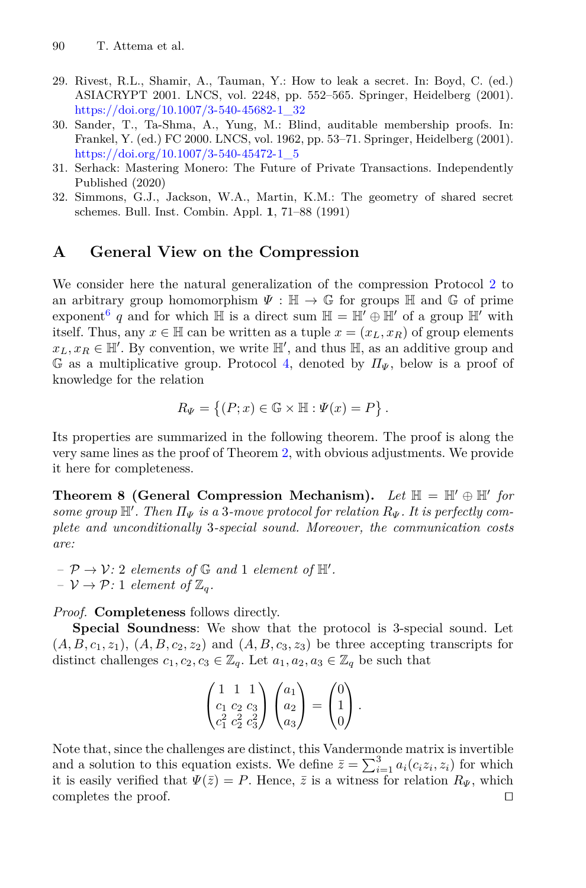- <span id="page-25-0"></span>29. Rivest, R.L., Shamir, A., Tauman, Y.: How to leak a secret. In: Boyd, C. (ed.) ASIACRYPT 2001. LNCS, vol. 2248, pp. 552–565. Springer, Heidelberg (2001). [https://doi.org/10.1007/3-540-45682-1\\_32](https://doi.org/10.1007/3-540-45682-1_32)
- <span id="page-25-2"></span>30. Sander, T., Ta-Shma, A., Yung, M.: Blind, auditable membership proofs. In: Frankel, Y. (ed.) FC 2000. LNCS, vol. 1962, pp. 53–71. Springer, Heidelberg (2001). [https://doi.org/10.1007/3-540-45472-1\\_5](https://doi.org/10.1007/3-540-45472-1_5)
- <span id="page-25-1"></span>31. Serhack: Mastering Monero: The Future of Private Transactions. Independently Published (2020)
- <span id="page-25-4"></span>32. Simmons, G.J., Jackson, W.A., Martin, K.M.: The geometry of shared secret schemes. Bull. Inst. Combin. Appl. **1**, 71–88 (1991)

## <span id="page-25-3"></span>**A General View on the Compression**

We consider here the natural generalization of the compression Protocol [2](#page-12-0) to an arbitrary group homomorphism  $\Psi : \mathbb{H} \to \mathbb{G}$  for groups  $\mathbb{H}$  and  $\mathbb{G}$  of prime exponent<sup>[6](#page-26-1)</sup> q and for which  $\mathbb{H}$  is a direct sum  $\mathbb{H} = \mathbb{H}' \oplus \mathbb{H}'$  of a group  $\mathbb{H}'$  with itself. Thus, any  $x \in \mathbb{H}$  can be written as a tuple  $x = (x_L, x_R)$  of group elements  $x_L, x_R \in \mathbb{H}'$ . By convention, we write  $\mathbb{H}'$ , and thus  $\mathbb{H}$ , as an additive group and  $\mathbb{G}$  as a multiplicative group. Protocol *A* denoted by  $H_x$  below is a proof of <sup>G</sup> as a multiplicative group. Protocol [4,](#page-26-0) denoted by *<sup>Π</sup><sup>Ψ</sup>* , below is a proof of knowledge for the relation

$$
R_{\Psi} = \{(P; x) \in \mathbb{G} \times \mathbb{H} : \Psi(x) = P\}.
$$

Its properties are summarized in the following theorem. The proof is along the very same lines as the proof of Theorem [2,](#page-12-1) with obvious adjustments. We provide it here for completeness.

**Theorem 8 (General Compression Mechanism).** Let  $\mathbb{H} = \mathbb{H}' \oplus \mathbb{H}'$  for  $\mathbb{H}^{\prime}$  *some group*  $\mathbb{H}^{\prime}$ . Then  $\Pi_{\Psi}$  is a 3*-move protocol for relation*  $R_{\Psi}$ . It is perfectly com-<br>  $\mathbb{H}^{\prime}$  *example and unconditionally* 3-special sound. Moreover, the communication costs *plete and unconditionally* 3*-special sound. Moreover, the communication costs are:*

 $-\mathcal{P} \rightarrow \mathcal{V}:$  2 *elements of*  $\mathbb{G}$  *and* 1 *element of*  $\mathbb{H}'$ .  $-V \rightarrow \mathcal{P}: 1$  *element of*  $\mathbb{Z}_q$ *.* 

*Proof.* **Completeness** follows directly.

**Special Soundness**: We show that the protocol is 3-special sound. Let  $(A, B, c_1, z_1), (A, B, c_2, z_2)$  and  $(A, B, c_3, z_3)$  be three accepting transcripts for distinct challenges  $c_1, c_2, c_3 \in \mathbb{Z}_q$ . Let  $a_1, a_2, a_3 \in \mathbb{Z}_q$  be such that

$$
\begin{pmatrix} 1 & 1 & 1 \ c_1 & c_2 & c_3 \ c_1^2 & c_2^2 & c_3^2 \end{pmatrix} \begin{pmatrix} a_1 \ a_2 \ a_3 \end{pmatrix} = \begin{pmatrix} 0 \ 1 \ 0 \end{pmatrix}.
$$

Note that, since the challenges are distinct, this Vandermonde matrix is invertible and a solution to this equation exists. We define  $\overline{z} = \sum_{i=1}^{3} a_i (c_i z_i, z_i)$  for which it is easily verified that  $W(\overline{z}) = P$ . Hence  $\overline{z}$  is a witness for relation  $R_x$ , which it is easily verified that  $\Psi(\bar{z}) = P$ . Hence,  $\bar{z}$  is a witness for relation  $R_{\Psi}$ , which completes the proof. completes the proof.